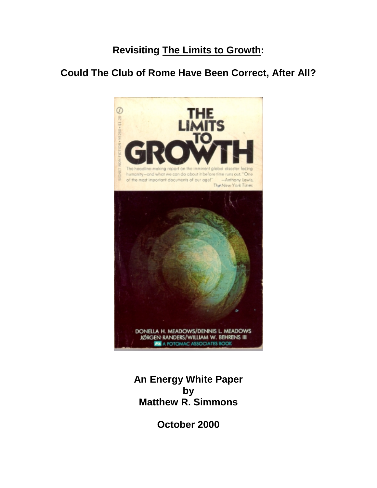# **Revisiting The Limits to Growth:**

# **Could The Club of Rome Have Been Correct, After All?**



**An Energy White Paper by Matthew R. Simmons**

**October 2000**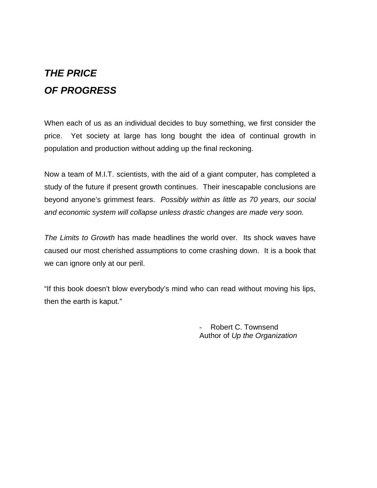# *THE PRICE OF PROGRESS*

When each of us as an individual decides to buy something, we first consider the price. Yet society at large has long bought the idea of continual growth in population and production without adding up the final reckoning.

Now a team of M.I.T. scientists, with the aid of a giant computer, has completed a study of the future if present growth continues. Their inescapable conclusions are beyond anyone's grimmest fears. *Possibly within as little as 70 years, our social and economic system will collapse unless drastic changes are made very soon.*

*The Limits to Growth* has made headlines the world over. Its shock waves have caused our most cherished assumptions to come crashing down. It is a book that we can ignore only at our peril.

"If this book doesn't blow everybody's mind who can read without moving his lips, then the earth is kaput."

> - Robert C. Townsend Author of *Up the Organization*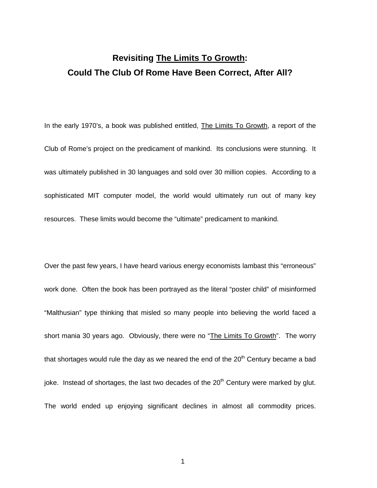# **Revisiting The Limits To Growth: Could The Club Of Rome Have Been Correct, After All?**

In the early 1970's, a book was published entitled, The Limits To Growth, a report of the Club of Rome's project on the predicament of mankind. Its conclusions were stunning. It was ultimately published in 30 languages and sold over 30 million copies. According to a sophisticated MIT computer model, the world would ultimately run out of many key resources. These limits would become the "ultimate" predicament to mankind.

Over the past few years, I have heard various energy economists lambast this "erroneous" work done. Often the book has been portrayed as the literal "poster child" of misinformed "Malthusian" type thinking that misled so many people into believing the world faced a short mania 30 years ago. Obviously, there were no "The Limits To Growth". The worry that shortages would rule the day as we neared the end of the  $20<sup>th</sup>$  Century became a bad joke. Instead of shortages, the last two decades of the 20<sup>th</sup> Century were marked by glut. The world ended up enjoying significant declines in almost all commodity prices.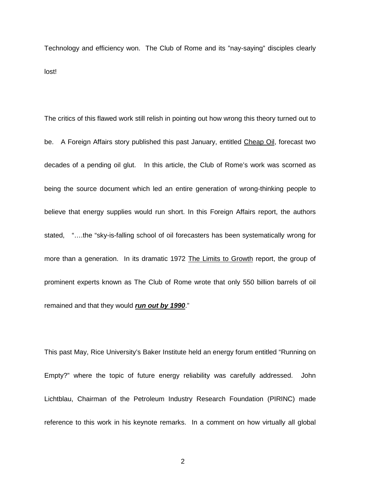Technology and efficiency won. The Club of Rome and its "nay-saying" disciples clearly lost!

The critics of this flawed work still relish in pointing out how wrong this theory turned out to be. A Foreign Affairs story published this past January, entitled Cheap Oil, forecast two decades of a pending oil glut. In this article, the Club of Rome's work was scorned as being the source document which led an entire generation of wrong-thinking people to believe that energy supplies would run short. In this Foreign Affairs report, the authors stated, "….the "sky-is-falling school of oil forecasters has been systematically wrong for more than a generation. In its dramatic 1972 The Limits to Growth report, the group of prominent experts known as The Club of Rome wrote that only 550 billion barrels of oil remained and that they would *run out by 1990*."

This past May, Rice University's Baker Institute held an energy forum entitled "Running on Empty?" where the topic of future energy reliability was carefully addressed. John Lichtblau, Chairman of the Petroleum Industry Research Foundation (PIRINC) made reference to this work in his keynote remarks. In a comment on how virtually all global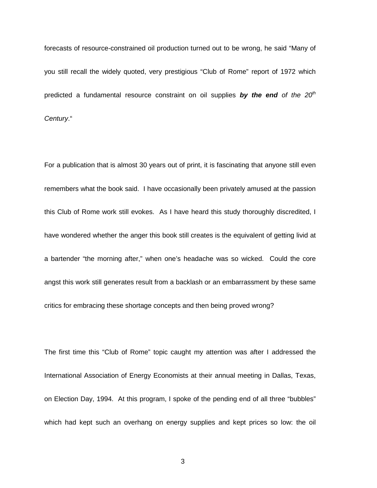forecasts of resource-constrained oil production turned out to be wrong, he said "Many of you still recall the widely quoted, very prestigious "Club of Rome" report of 1972 which predicted a fundamental resource constraint on oil supplies **by the end** of the 20<sup>th</sup> *Century*."

For a publication that is almost 30 years out of print, it is fascinating that anyone still even remembers what the book said. I have occasionally been privately amused at the passion this Club of Rome work still evokes. As I have heard this study thoroughly discredited, I have wondered whether the anger this book still creates is the equivalent of getting livid at a bartender "the morning after," when one's headache was so wicked. Could the core angst this work still generates result from a backlash or an embarrassment by these same critics for embracing these shortage concepts and then being proved wrong?

The first time this "Club of Rome" topic caught my attention was after I addressed the International Association of Energy Economists at their annual meeting in Dallas, Texas, on Election Day, 1994. At this program, I spoke of the pending end of all three "bubbles" which had kept such an overhang on energy supplies and kept prices so low: the oil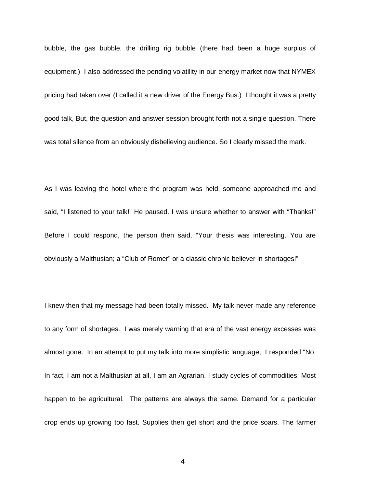bubble, the gas bubble, the drilling rig bubble (there had been a huge surplus of equipment.) I also addressed the pending volatility in our energy market now that NYMEX pricing had taken over (I called it a new driver of the Energy Bus.) I thought it was a pretty good talk, But, the question and answer session brought forth not a single question. There was total silence from an obviously disbelieving audience. So I clearly missed the mark.

As I was leaving the hotel where the program was held, someone approached me and said, "I listened to your talk!" He paused. I was unsure whether to answer with "Thanks!" Before I could respond, the person then said, "Your thesis was interesting. You are obviously a Malthusian; a "Club of Romer" or a classic chronic believer in shortages!"

I knew then that my message had been totally missed. My talk never made any reference to any form of shortages. I was merely warning that era of the vast energy excesses was almost gone. In an attempt to put my talk into more simplistic language, I responded "No. In fact, I am not a Malthusian at all, I am an Agrarian. I study cycles of commodities. Most happen to be agricultural. The patterns are always the same. Demand for a particular crop ends up growing too fast. Supplies then get short and the price soars. The farmer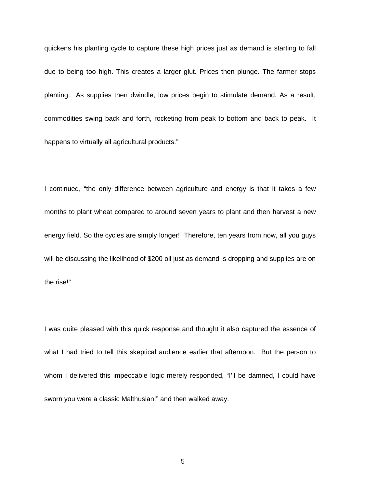quickens his planting cycle to capture these high prices just as demand is starting to fall due to being too high. This creates a larger glut. Prices then plunge. The farmer stops planting. As supplies then dwindle, low prices begin to stimulate demand. As a result, commodities swing back and forth, rocketing from peak to bottom and back to peak. It happens to virtually all agricultural products."

I continued, "the only difference between agriculture and energy is that it takes a few months to plant wheat compared to around seven years to plant and then harvest a new energy field. So the cycles are simply longer! Therefore, ten years from now, all you guys will be discussing the likelihood of \$200 oil just as demand is dropping and supplies are on the rise!"

I was quite pleased with this quick response and thought it also captured the essence of what I had tried to tell this skeptical audience earlier that afternoon. But the person to whom I delivered this impeccable logic merely responded, "I'll be damned, I could have sworn you were a classic Malthusian!" and then walked away.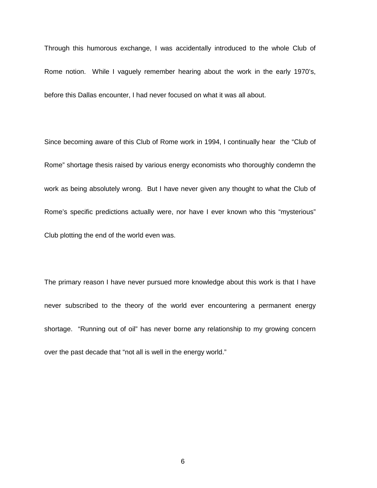Through this humorous exchange, I was accidentally introduced to the whole Club of Rome notion. While I vaguely remember hearing about the work in the early 1970's, before this Dallas encounter, I had never focused on what it was all about.

Since becoming aware of this Club of Rome work in 1994, I continually hear the "Club of Rome" shortage thesis raised by various energy economists who thoroughly condemn the work as being absolutely wrong. But I have never given any thought to what the Club of Rome's specific predictions actually were, nor have I ever known who this "mysterious" Club plotting the end of the world even was.

The primary reason I have never pursued more knowledge about this work is that I have never subscribed to the theory of the world ever encountering a permanent energy shortage. "Running out of oil" has never borne any relationship to my growing concern over the past decade that "not all is well in the energy world."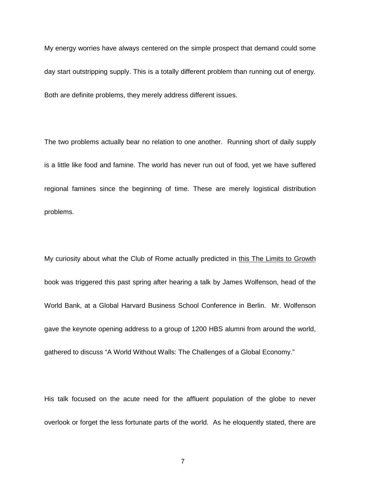My energy worries have always centered on the simple prospect that demand could some day start outstripping supply. This is a totally different problem than running out of energy. Both are definite problems, they merely address different issues.

The two problems actually bear no relation to one another. Running short of daily supply is a little like food and famine. The world has never run out of food, yet we have suffered regional famines since the beginning of time. These are merely logistical distribution problems.

My curiosity about what the Club of Rome actually predicted in this The Limits to Growth book was triggered this past spring after hearing a talk by James Wolfenson, head of the World Bank, at a Global Harvard Business School Conference in Berlin. Mr. Wolfenson gave the keynote opening address to a group of 1200 HBS alumni from around the world, gathered to discuss "A World Without Walls: The Challenges of a Global Economy."

His talk focused on the acute need for the affluent population of the globe to never overlook or forget the less fortunate parts of the world. As he eloquently stated, there are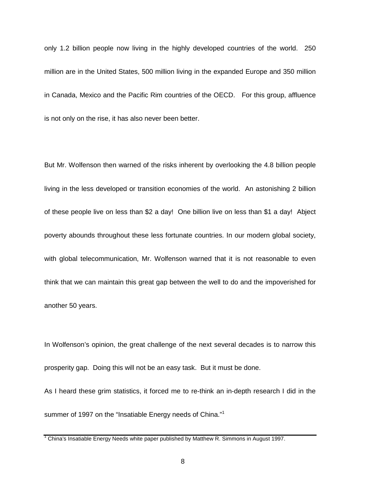only 1.2 billion people now living in the highly developed countries of the world. 250 million are in the United States, 500 million living in the expanded Europe and 350 million in Canada, Mexico and the Pacific Rim countries of the OECD. For this group, affluence is not only on the rise, it has also never been better.

But Mr. Wolfenson then warned of the risks inherent by overlooking the 4.8 billion people living in the less developed or transition economies of the world. An astonishing 2 billion of these people live on less than \$2 a day! One billion live on less than \$1 a day! Abject poverty abounds throughout these less fortunate countries. In our modern global society, with global telecommunication, Mr. Wolfenson warned that it is not reasonable to even think that we can maintain this great gap between the well to do and the impoverished for another 50 years.

In Wolfenson's opinion, the great challenge of the next several decades is to narrow this prosperity gap. Doing this will not be an easy task. But it must be done.

As I heard these grim statistics, it forced me to re-think an in-depth research I did in the summer of 1997 on the "Insatiable Energy needs of China."<sup>1</sup>

 $1$  China's Insatiable Energy Needs white paper published by Matthew R. Simmons in August 1997.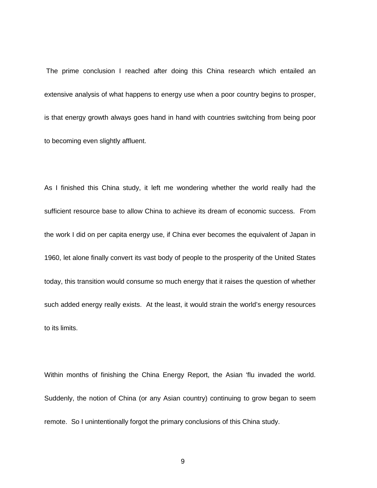The prime conclusion I reached after doing this China research which entailed an extensive analysis of what happens to energy use when a poor country begins to prosper, is that energy growth always goes hand in hand with countries switching from being poor to becoming even slightly affluent.

As I finished this China study, it left me wondering whether the world really had the sufficient resource base to allow China to achieve its dream of economic success. From the work I did on per capita energy use, if China ever becomes the equivalent of Japan in 1960, let alone finally convert its vast body of people to the prosperity of the United States today, this transition would consume so much energy that it raises the question of whether such added energy really exists. At the least, it would strain the world's energy resources to its limits.

Within months of finishing the China Energy Report, the Asian 'flu invaded the world. Suddenly, the notion of China (or any Asian country) continuing to grow began to seem remote. So I unintentionally forgot the primary conclusions of this China study.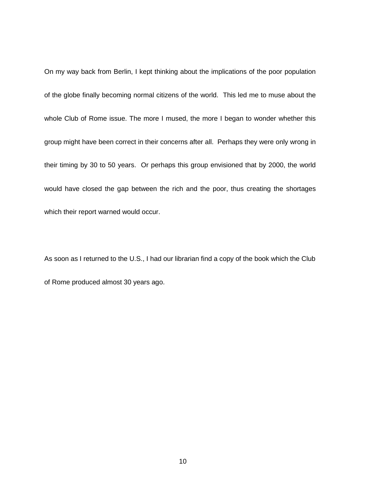On my way back from Berlin, I kept thinking about the implications of the poor population of the globe finally becoming normal citizens of the world. This led me to muse about the whole Club of Rome issue. The more I mused, the more I began to wonder whether this group might have been correct in their concerns after all. Perhaps they were only wrong in their timing by 30 to 50 years. Or perhaps this group envisioned that by 2000, the world would have closed the gap between the rich and the poor, thus creating the shortages which their report warned would occur.

As soon as I returned to the U.S., I had our librarian find a copy of the book which the Club of Rome produced almost 30 years ago.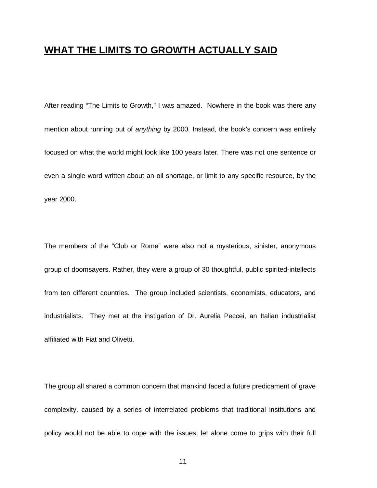### **WHAT THE LIMITS TO GROWTH ACTUALLY SAID**

After reading "The Limits to Growth," I was amazed. Nowhere in the book was there any mention about running out of *anything* by 2000. Instead, the book's concern was entirely focused on what the world might look like 100 years later. There was not one sentence or even a single word written about an oil shortage, or limit to any specific resource, by the year 2000.

The members of the "Club or Rome" were also not a mysterious, sinister, anonymous group of doomsayers. Rather, they were a group of 30 thoughtful, public spirited-intellects from ten different countries. The group included scientists, economists, educators, and industrialists. They met at the instigation of Dr. Aurelia Peccei, an Italian industrialist affiliated with Fiat and Olivetti.

The group all shared a common concern that mankind faced a future predicament of grave complexity, caused by a series of interrelated problems that traditional institutions and policy would not be able to cope with the issues, let alone come to grips with their full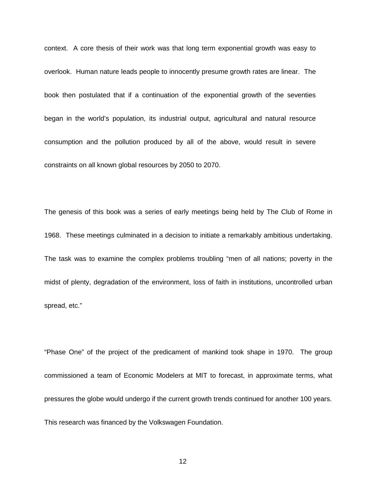context. A core thesis of their work was that long term exponential growth was easy to overlook. Human nature leads people to innocently presume growth rates are linear. The book then postulated that if a continuation of the exponential growth of the seventies began in the world's population, its industrial output, agricultural and natural resource consumption and the pollution produced by all of the above, would result in severe constraints on all known global resources by 2050 to 2070.

The genesis of this book was a series of early meetings being held by The Club of Rome in 1968. These meetings culminated in a decision to initiate a remarkably ambitious undertaking. The task was to examine the complex problems troubling "men of all nations; poverty in the midst of plenty, degradation of the environment, loss of faith in institutions, uncontrolled urban spread, etc."

"Phase One" of the project of the predicament of mankind took shape in 1970. The group commissioned a team of Economic Modelers at MIT to forecast, in approximate terms, what pressures the globe would undergo if the current growth trends continued for another 100 years. This research was financed by the Volkswagen Foundation.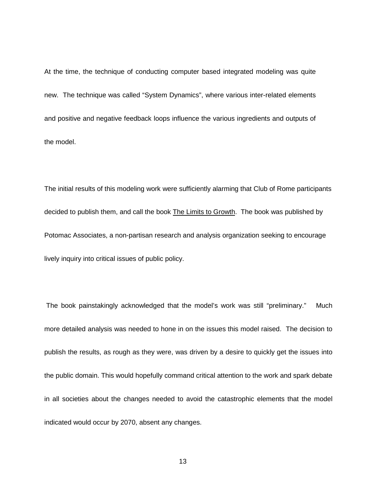At the time, the technique of conducting computer based integrated modeling was quite new. The technique was called "System Dynamics", where various inter-related elements and positive and negative feedback loops influence the various ingredients and outputs of the model.

The initial results of this modeling work were sufficiently alarming that Club of Rome participants decided to publish them, and call the book The Limits to Growth. The book was published by Potomac Associates, a non-partisan research and analysis organization seeking to encourage lively inquiry into critical issues of public policy.

 The book painstakingly acknowledged that the model's work was still "preliminary." Much more detailed analysis was needed to hone in on the issues this model raised. The decision to publish the results, as rough as they were, was driven by a desire to quickly get the issues into the public domain. This would hopefully command critical attention to the work and spark debate in all societies about the changes needed to avoid the catastrophic elements that the model indicated would occur by 2070, absent any changes.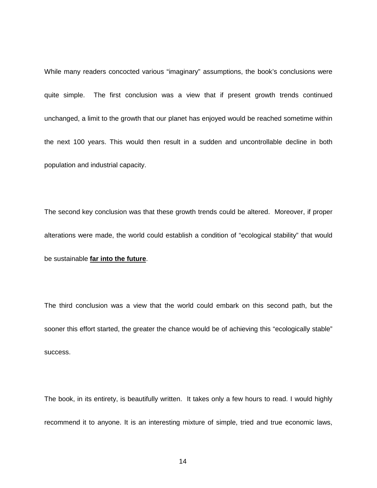While many readers concocted various "imaginary" assumptions, the book's conclusions were quite simple. The first conclusion was a view that if present growth trends continued unchanged, a limit to the growth that our planet has enjoyed would be reached sometime within the next 100 years. This would then result in a sudden and uncontrollable decline in both population and industrial capacity.

The second key conclusion was that these growth trends could be altered. Moreover, if proper alterations were made, the world could establish a condition of "ecological stability" that would be sustainable **far into the future**.

The third conclusion was a view that the world could embark on this second path, but the sooner this effort started, the greater the chance would be of achieving this "ecologically stable" success.

The book, in its entirety, is beautifully written. It takes only a few hours to read. I would highly recommend it to anyone. It is an interesting mixture of simple, tried and true economic laws,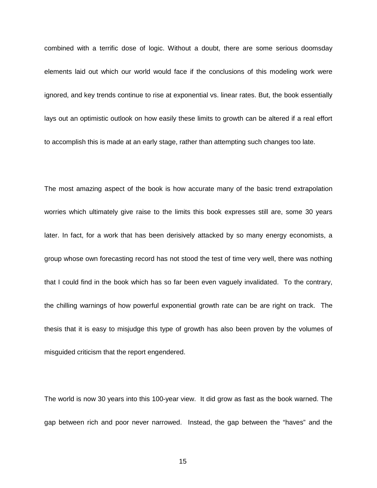combined with a terrific dose of logic. Without a doubt, there are some serious doomsday elements laid out which our world would face if the conclusions of this modeling work were ignored, and key trends continue to rise at exponential vs. linear rates. But, the book essentially lays out an optimistic outlook on how easily these limits to growth can be altered if a real effort to accomplish this is made at an early stage, rather than attempting such changes too late.

The most amazing aspect of the book is how accurate many of the basic trend extrapolation worries which ultimately give raise to the limits this book expresses still are, some 30 years later. In fact, for a work that has been derisively attacked by so many energy economists, a group whose own forecasting record has not stood the test of time very well, there was nothing that I could find in the book which has so far been even vaguely invalidated. To the contrary, the chilling warnings of how powerful exponential growth rate can be are right on track. The thesis that it is easy to misjudge this type of growth has also been proven by the volumes of misguided criticism that the report engendered.

The world is now 30 years into this 100-year view. It did grow as fast as the book warned. The gap between rich and poor never narrowed. Instead, the gap between the "haves" and the

15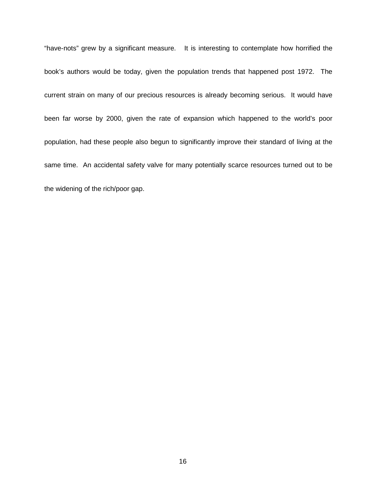"have-nots" grew by a significant measure. It is interesting to contemplate how horrified the book's authors would be today, given the population trends that happened post 1972. The current strain on many of our precious resources is already becoming serious. It would have been far worse by 2000, given the rate of expansion which happened to the world's poor population, had these people also begun to significantly improve their standard of living at the same time. An accidental safety valve for many potentially scarce resources turned out to be the widening of the rich/poor gap.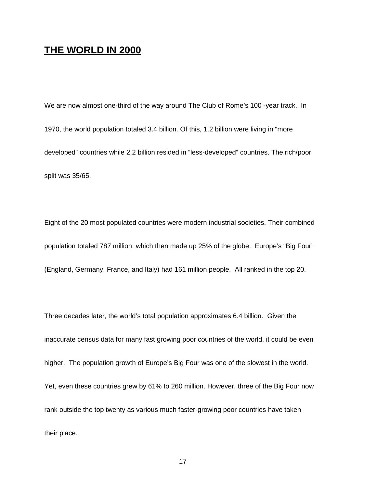### **THE WORLD IN 2000**

We are now almost one-third of the way around The Club of Rome's 100 -year track. In 1970, the world population totaled 3.4 billion. Of this, 1.2 billion were living in "more developed" countries while 2.2 billion resided in "less-developed" countries. The rich/poor split was 35/65.

Eight of the 20 most populated countries were modern industrial societies. Their combined population totaled 787 million, which then made up 25% of the globe. Europe's "Big Four" (England, Germany, France, and Italy) had 161 million people. All ranked in the top 20.

Three decades later, the world's total population approximates 6.4 billion. Given the inaccurate census data for many fast growing poor countries of the world, it could be even higher. The population growth of Europe's Big Four was one of the slowest in the world. Yet, even these countries grew by 61% to 260 million. However, three of the Big Four now rank outside the top twenty as various much faster-growing poor countries have taken their place.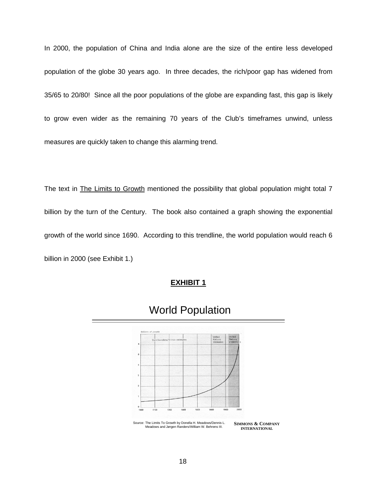In 2000, the population of China and India alone are the size of the entire less developed population of the globe 30 years ago. In three decades, the rich/poor gap has widened from 35/65 to 20/80! Since all the poor populations of the globe are expanding fast, this gap is likely to grow even wider as the remaining 70 years of the Club's timeframes unwind, unless measures are quickly taken to change this alarming trend.

The text in The Limits to Growth mentioned the possibility that global population might total 7 billion by the turn of the Century. The book also contained a graph showing the exponential growth of the world since 1690. According to this trendline, the world population would reach 6 billion in 2000 (see Exhibit 1.)

### **EXHIBIT 1**



# World Population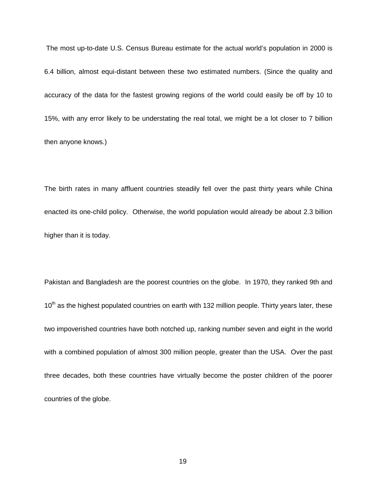The most up-to-date U.S. Census Bureau estimate for the actual world's population in 2000 is 6.4 billion, almost equi-distant between these two estimated numbers. (Since the quality and accuracy of the data for the fastest growing regions of the world could easily be off by 10 to 15%, with any error likely to be understating the real total, we might be a lot closer to 7 billion then anyone knows.)

The birth rates in many affluent countries steadily fell over the past thirty years while China enacted its one-child policy. Otherwise, the world population would already be about 2.3 billion higher than it is today.

Pakistan and Bangladesh are the poorest countries on the globe. In 1970, they ranked 9th and 10<sup>th</sup> as the highest populated countries on earth with 132 million people. Thirty years later, these two impoverished countries have both notched up, ranking number seven and eight in the world with a combined population of almost 300 million people, greater than the USA. Over the past three decades, both these countries have virtually become the poster children of the poorer countries of the globe.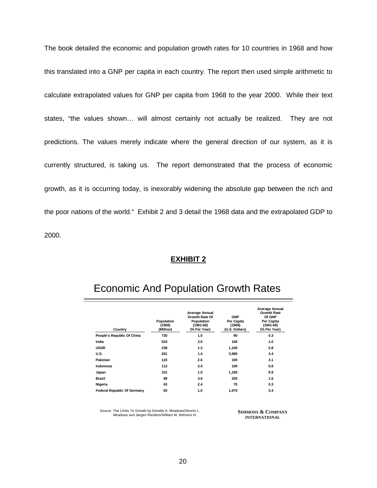The book detailed the economic and population growth rates for 10 countries in 1968 and how this translated into a GNP per capita in each country. The report then used simple arithmetic to calculate extrapolated values for GNP per capita from 1968 to the year 2000. While their text states, "the values shown… will almost certainly not actually be realized. They are not predictions. The values merely indicate where the general direction of our system, as it is currently structured, is taking us. The report demonstrated that the process of economic growth, as it is occurring today, is inexorably widening the absolute gap between the rich and the poor nations of the world." Exhibit 2 and 3 detail the 1968 data and the extrapolated GDP to 2000.

#### **EXHIBIT 2**

| Country                            | Population<br>(1968)<br>(Million) | <b>Average Annual</b><br>Growth Rate Of<br>Population<br>$(1961 - 68)$<br>(% Per Year) | <b>GNP</b><br>Per Capita<br>(1968)<br>(U.S. Dollars) | <b>Average Annual</b><br><b>Growth Rate</b><br>Of GNP<br>Per Capita<br>$(1961 - 68)$<br>(% Per Year) |
|------------------------------------|-----------------------------------|----------------------------------------------------------------------------------------|------------------------------------------------------|------------------------------------------------------------------------------------------------------|
| People's Republic Of China         | 730                               | 1.5                                                                                    | 90                                                   | 0.3                                                                                                  |
| India                              | 524                               | 2.5                                                                                    | 100                                                  | 1.0                                                                                                  |
| <b>USSR</b>                        | 238                               | 1.3                                                                                    | 1,100                                                | 5.8                                                                                                  |
| <b>U.S.</b>                        | 201                               | 1.4                                                                                    | 3,980                                                | 3.4                                                                                                  |
| Pakistan                           | 123                               | 2.6                                                                                    | 100                                                  | 3.1                                                                                                  |
| Indonesia                          | 113                               | 2.4                                                                                    | 100                                                  | 0.8                                                                                                  |
| Japan                              | 101                               | 1.0                                                                                    | 1,190                                                | 9.9                                                                                                  |
| Brazil                             | 88                                | 3.0                                                                                    | 250                                                  | 1.6                                                                                                  |
| Nigeria                            | 63                                | 2.4                                                                                    | 70                                                   | 0.3                                                                                                  |
| <b>Federal Republic Of Germany</b> | 60                                | 1.0                                                                                    | 1,970                                                | 3.4                                                                                                  |

## Economic And Population Growth Rates

Source: The Limits To Growth by Donella H. Meadows/Dennis L. Meadows and Jørgen Randers/William W. Behrens III.

**SIMMONS & COMPANY INTERNATIONAL**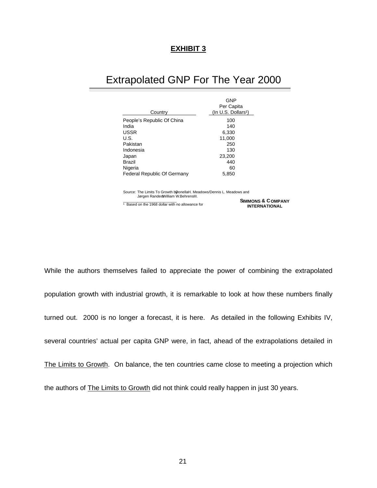### **EXHIBIT 3**

## Extrapolated GNP For The Year 2000

|                             | <b>GNP</b>                                         |
|-----------------------------|----------------------------------------------------|
| Country                     | Per Capita<br>$($ In U.S. Dollars <sup>1</sup> $)$ |
|                             |                                                    |
| People's Republic Of China  | 100                                                |
| India                       | 140                                                |
| <b>USSR</b>                 | 6,330                                              |
| U.S.                        | 11,000                                             |
| Pakistan                    | 250                                                |
| Indonesia                   | 130                                                |
| Japan                       | 23,200                                             |
| <b>Brazil</b>               | 440                                                |
| Nigeria                     | 60                                                 |
| Federal Republic Of Germany | 5,850                                              |
|                             |                                                    |

Source: The Limits To Growth bDonellaH. Meadows/Dennis L. Meadows and Jørgen Rander&William W. Behrens III.

1 Based on the 1968 dollar with no allowance for

**SIMMONS & COMPANY INTERNATIONAL**

While the authors themselves failed to appreciate the power of combining the extrapolated population growth with industrial growth, it is remarkable to look at how these numbers finally turned out. 2000 is no longer a forecast, it is here. As detailed in the following Exhibits IV, several countries' actual per capita GNP were, in fact, ahead of the extrapolations detailed in The Limits to Growth. On balance, the ten countries came close to meeting a projection which the authors of The Limits to Growth did not think could really happen in just 30 years.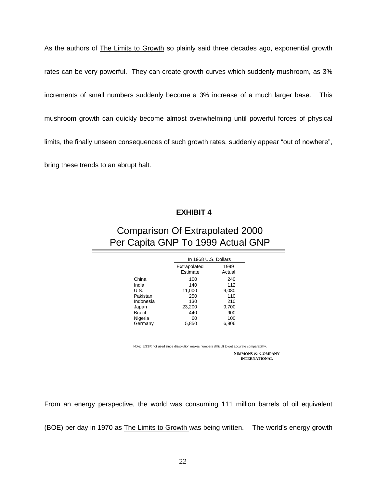As the authors of **The Limits to Growth** so plainly said three decades ago, exponential growth rates can be very powerful. They can create growth curves which suddenly mushroom, as 3% increments of small numbers suddenly become a 3% increase of a much larger base. This mushroom growth can quickly become almost overwhelming until powerful forces of physical limits, the finally unseen consequences of such growth rates, suddenly appear "out of nowhere", bring these trends to an abrupt halt.

### **EXHIBIT 4**

## Comparison Of Extrapolated 2000 Per Capita GNP To 1999 Actual GNP

|               |                          | In 1968 U.S. Dollars |  |  |  |  |
|---------------|--------------------------|----------------------|--|--|--|--|
|               | Extrapolated<br>Estimate | 1999<br>Actual       |  |  |  |  |
| China         | 100                      | 240                  |  |  |  |  |
| India         | 140                      | 112                  |  |  |  |  |
| U.S.          | 11,000                   | 9,080                |  |  |  |  |
| Pakistan      | 250                      | 110                  |  |  |  |  |
| Indonesia     | 130                      | 210                  |  |  |  |  |
| Japan         | 23,200                   | 9,700                |  |  |  |  |
| <b>Brazil</b> | 440                      | 900                  |  |  |  |  |
| Nigeria       | 60                       | 100                  |  |  |  |  |
| Germany       | 5.850                    | 6,806                |  |  |  |  |

**SIMMONS & COMPANY INTERNATIONAL** Note: USSR not used since dissolution makes numbers difficult to get accurate compa

From an energy perspective, the world was consuming 111 million barrels of oil equivalent

(BOE) per day in 1970 as The Limits to Growth was being written. The world's energy growth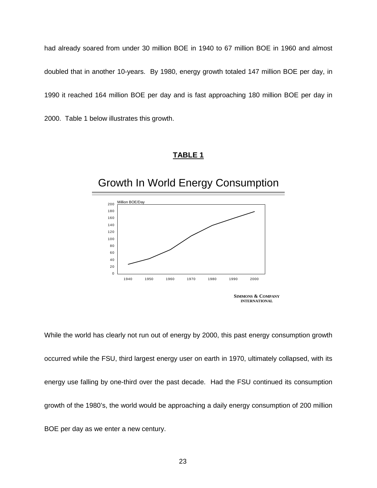had already soared from under 30 million BOE in 1940 to 67 million BOE in 1960 and almost doubled that in another 10-years. By 1980, energy growth totaled 147 million BOE per day, in 1990 it reached 164 million BOE per day and is fast approaching 180 million BOE per day in 2000. Table 1 below illustrates this growth.

### **TABLE 1**

#### **SIMMONS & COMPANY INTERNATIONAL** Growth In World Energy Consumption 0 20 40 60 80 100 120 140 160 180 200 1940 1950 1960 1970 1980 1990 2000 Million BOE/Day

While the world has clearly not run out of energy by 2000, this past energy consumption growth occurred while the FSU, third largest energy user on earth in 1970, ultimately collapsed, with its energy use falling by one-third over the past decade. Had the FSU continued its consumption growth of the 1980's, the world would be approaching a daily energy consumption of 200 million BOE per day as we enter a new century.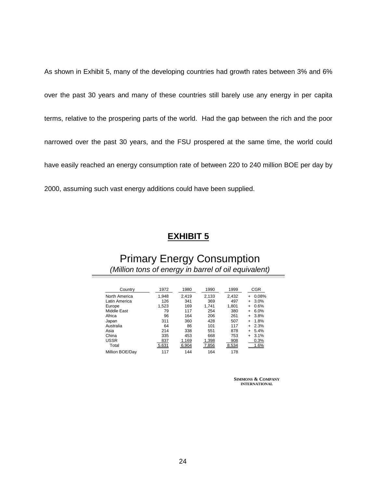As shown in Exhibit 5, many of the developing countries had growth rates between 3% and 6% over the past 30 years and many of these countries still barely use any energy in per capita terms, relative to the prospering parts of the world. Had the gap between the rich and the poor narrowed over the past 30 years, and the FSU prospered at the same time, the world could have easily reached an energy consumption rate of between 220 to 240 million BOE per day by 2000, assuming such vast energy additions could have been supplied.

## **EXHIBIT 5**

## Primary Energy Consumption *(Million tons of energy in barrel of oil equivalent)*

| Country         | 1972  | 1980  | 1990  | 1999  | <b>CGR</b>        |
|-----------------|-------|-------|-------|-------|-------------------|
| North America   | 1.948 | 2.419 | 2,133 | 2,432 | 0.08%<br>+        |
| Latin America   | 126   | 341   | 369   | 497   | 3.0%<br>$\ddot{}$ |
| Europe          | 1.523 | 169   | 1.741 | 1.801 | 0.6%<br>$\ddot{}$ |
| Middle East     | 79    | 117   | 254   | 380   | 6.0%<br>$\ddot{}$ |
| Africa          | 96    | 164   | 206   | 261   | 3.8%<br>$\ddot{}$ |
| Japan           | 311   | 360   | 428   | 507   | 1.8%<br>÷         |
| Australia       | 64    | 86    | 101   | 117   | 2.3%<br>÷         |
| Asia            | 214   | 338   | 551   | 878   | 5.4%<br>$\ddot{}$ |
| China           | 335   | 453   | 668   | 753   | 3.1%<br>$\ddot{}$ |
| <b>USSR</b>     | 837   | 1,169 | 1,398 | 908   | 0.3%              |
| Total           | 5,631 | 6,904 | 7,856 | 8,534 | 1.6%              |
| Million BOE/Day | 117   | 144   | 164   | 178   |                   |

**SIMMONS & COMPANY INTERNATIONAL**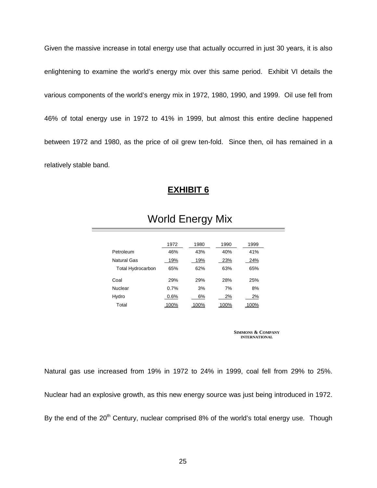Given the massive increase in total energy use that actually occurred in just 30 years, it is also enlightening to examine the world's energy mix over this same period. Exhibit VI details the various components of the world's energy mix in 1972, 1980, 1990, and 1999. Oil use fell from 46% of total energy use in 1972 to 41% in 1999, but almost this entire decline happened between 1972 and 1980, as the price of oil grew ten-fold. Since then, oil has remained in a relatively stable band.

### **EXHIBIT 6**

|                          | 1972 | 1980 | 1990 | 1999 |
|--------------------------|------|------|------|------|
| Petroleum                | 46%  | 43%  | 40%  | 41%  |
| <b>Natural Gas</b>       | 19%  | 19%  | 23%  | 24%  |
| <b>Total Hydrocarbon</b> | 65%  | 62%  | 63%  | 65%  |
| Coal                     | 29%  | 29%  | 28%  | 25%  |
| Nuclear                  | 0.7% | 3%   | 7%   | 8%   |
| Hydro                    | 0.6% | 6%   | 2%   | 2%   |
| Total                    | 100% | 100% | 100% | 100% |

# World Energy Mix

**SIMMONS & COMPANY INTERNATIONAL**

Natural gas use increased from 19% in 1972 to 24% in 1999, coal fell from 29% to 25%. Nuclear had an explosive growth, as this new energy source was just being introduced in 1972. By the end of the  $20<sup>th</sup>$  Century, nuclear comprised 8% of the world's total energy use. Though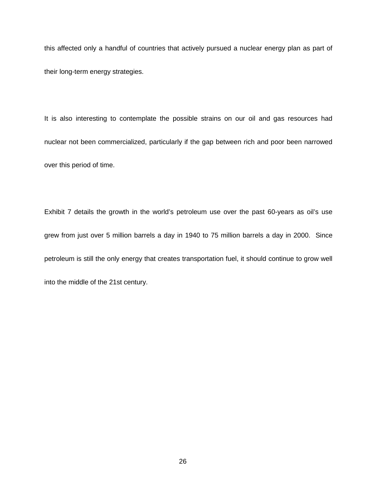this affected only a handful of countries that actively pursued a nuclear energy plan as part of their long-term energy strategies.

It is also interesting to contemplate the possible strains on our oil and gas resources had nuclear not been commercialized, particularly if the gap between rich and poor been narrowed over this period of time.

Exhibit 7 details the growth in the world's petroleum use over the past 60-years as oil's use grew from just over 5 million barrels a day in 1940 to 75 million barrels a day in 2000. Since petroleum is still the only energy that creates transportation fuel, it should continue to grow well into the middle of the 21st century.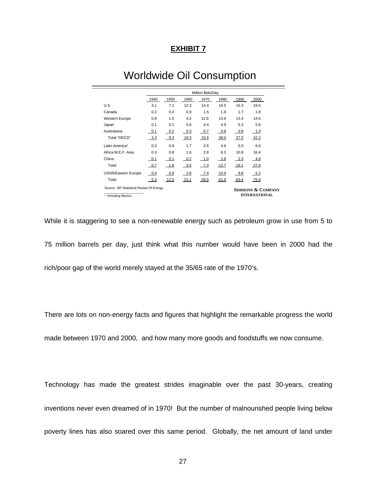#### **EXHIBIT 7**

|                                                                            | Million Bbls/Day |        |        |        |      |                              |                      |
|----------------------------------------------------------------------------|------------------|--------|--------|--------|------|------------------------------|----------------------|
|                                                                            | 1940             | 1950   | 1960   | 1970   | 1980 | 1990                         | 2000                 |
| U.S.                                                                       | 3.1              | 7.1    | 12.3   | 14.4   | 16.5 | 16.3                         | 19.0                 |
| Canada                                                                     | 0.2              | 0.4    | 0.9    | 1.5    | 1.9  | 1.7                          | 1.8                  |
| <b>Western Europe</b>                                                      | 0.8              | 1.5    | 4.2    | 12.6   | 13.9 | 13.4                         | 14.6                 |
| Japan                                                                      | 0.1              | 0.1    | 0.6    | 4.4    | 4.9  | 5.3                          | 5.8                  |
| Australasia                                                                | 0.1              | $-0.2$ | $-0.3$ | $-0.7$ | 0.8  | 0.8                          | 1.0                  |
| Total "OECD"                                                               | 4.3              | $-9.3$ | 18.3   | 33.6   | 38.0 | 37.5                         | 42.2                 |
| Latin America <sup>1</sup>                                                 | 0.3              | 0.9    | 1.7    | 3.5    | 4.6  | 5.0                          | 6.6                  |
| Africa M.E.F. Asia                                                         | 0.3              | 0.8    | 1.6    | 2.8    | 6.3  | 10.8                         | 16.4                 |
| China                                                                      | 0.1              | 0.1    | 0.2    | 1.0    | 1.8  | 2.3                          | 4.6                  |
| Total                                                                      | 0.7              | $-1.8$ | $-3.5$ | $-7.3$ | 12.7 | 18.1                         | 27.6                 |
| <b>USSR/Eastern Europe</b>                                                 | 0.4              | 0.9    | $-2.8$ | 7.4    | 10.9 | 9.8                          | 5.2                  |
| Total                                                                      | $-5.3$           | 12.0   | 22.1   | 39.5   | 61.6 | 65.4                         | 75.0                 |
| Source: BP Statistical Review Of Energy.<br><sup>1</sup> Including Mexico. |                  |        |        |        |      | <b>SIMMONS &amp; COMPANY</b> | <b>INTERNATIONAL</b> |

# Worldwide Oil Consumption

While it is staggering to see a non-renewable energy such as petroleum grow in use from 5 to 75 million barrels per day, just think what this number would have been in 2000 had the

rich/poor gap of the world merely stayed at the 35/65 rate of the 1970's.

There are lots on non-energy facts and figures that highlight the remarkable progress the world

made between 1970 and 2000, and how many more goods and foodstuffs we now consume.

Technology has made the greatest strides imaginable over the past 30-years, creating inventions never even dreamed of in 1970! But the number of malnourished people living below poverty lines has also soared over this same period. Globally, the net amount of land under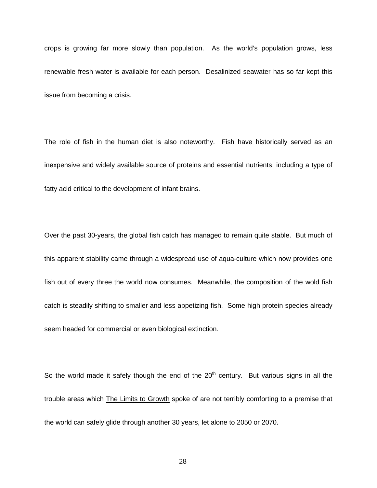crops is growing far more slowly than population. As the world's population grows, less renewable fresh water is available for each person. Desalinized seawater has so far kept this issue from becoming a crisis.

The role of fish in the human diet is also noteworthy. Fish have historically served as an inexpensive and widely available source of proteins and essential nutrients, including a type of fatty acid critical to the development of infant brains.

Over the past 30-years, the global fish catch has managed to remain quite stable. But much of this apparent stability came through a widespread use of aqua-culture which now provides one fish out of every three the world now consumes. Meanwhile, the composition of the wold fish catch is steadily shifting to smaller and less appetizing fish. Some high protein species already seem headed for commercial or even biological extinction.

So the world made it safely though the end of the  $20<sup>th</sup>$  century. But various signs in all the trouble areas which The Limits to Growth spoke of are not terribly comforting to a premise that the world can safely glide through another 30 years, let alone to 2050 or 2070.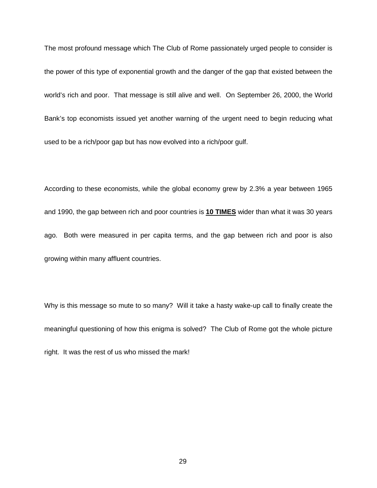The most profound message which The Club of Rome passionately urged people to consider is the power of this type of exponential growth and the danger of the gap that existed between the world's rich and poor. That message is still alive and well. On September 26, 2000, the World Bank's top economists issued yet another warning of the urgent need to begin reducing what used to be a rich/poor gap but has now evolved into a rich/poor gulf.

According to these economists, while the global economy grew by 2.3% a year between 1965 and 1990, the gap between rich and poor countries is **10 TIMES** wider than what it was 30 years ago. Both were measured in per capita terms, and the gap between rich and poor is also growing within many affluent countries.

Why is this message so mute to so many? Will it take a hasty wake-up call to finally create the meaningful questioning of how this enigma is solved? The Club of Rome got the whole picture right. It was the rest of us who missed the mark!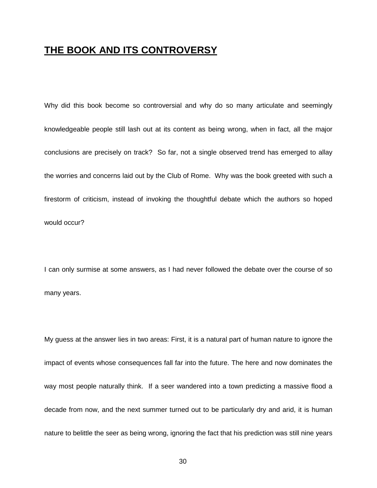## **THE BOOK AND ITS CONTROVERSY**

Why did this book become so controversial and why do so many articulate and seemingly knowledgeable people still lash out at its content as being wrong, when in fact, all the major conclusions are precisely on track? So far, not a single observed trend has emerged to allay the worries and concerns laid out by the Club of Rome. Why was the book greeted with such a firestorm of criticism, instead of invoking the thoughtful debate which the authors so hoped would occur?

I can only surmise at some answers, as I had never followed the debate over the course of so many years.

My guess at the answer lies in two areas: First, it is a natural part of human nature to ignore the impact of events whose consequences fall far into the future. The here and now dominates the way most people naturally think. If a seer wandered into a town predicting a massive flood a decade from now, and the next summer turned out to be particularly dry and arid, it is human nature to belittle the seer as being wrong, ignoring the fact that his prediction was still nine years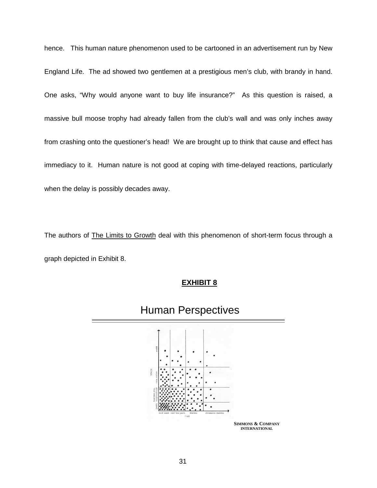hence. This human nature phenomenon used to be cartooned in an advertisement run by New England Life. The ad showed two gentlemen at a prestigious men's club, with brandy in hand. One asks, "Why would anyone want to buy life insurance?" As this question is raised, a massive bull moose trophy had already fallen from the club's wall and was only inches away from crashing onto the questioner's head! We are brought up to think that cause and effect has immediacy to it. Human nature is not good at coping with time-delayed reactions, particularly when the delay is possibly decades away.

The authors of The Limits to Growth deal with this phenomenon of short-term focus through a graph depicted in Exhibit 8.



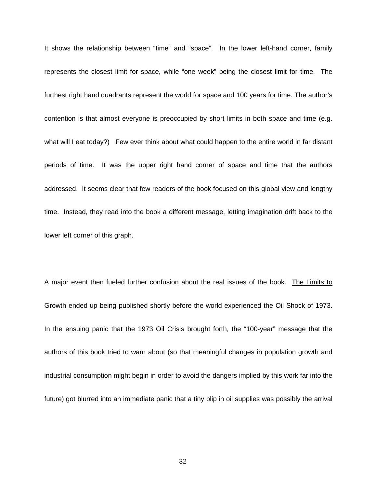It shows the relationship between "time" and "space". In the lower left-hand corner, family represents the closest limit for space, while "one week" being the closest limit for time. The furthest right hand quadrants represent the world for space and 100 years for time. The author's contention is that almost everyone is preoccupied by short limits in both space and time (e.g. what will I eat today?) Few ever think about what could happen to the entire world in far distant periods of time. It was the upper right hand corner of space and time that the authors addressed. It seems clear that few readers of the book focused on this global view and lengthy time. Instead, they read into the book a different message, letting imagination drift back to the lower left corner of this graph.

A major event then fueled further confusion about the real issues of the book. The Limits to Growth ended up being published shortly before the world experienced the Oil Shock of 1973. In the ensuing panic that the 1973 Oil Crisis brought forth, the "100-year" message that the authors of this book tried to warn about (so that meaningful changes in population growth and industrial consumption might begin in order to avoid the dangers implied by this work far into the future) got blurred into an immediate panic that a tiny blip in oil supplies was possibly the arrival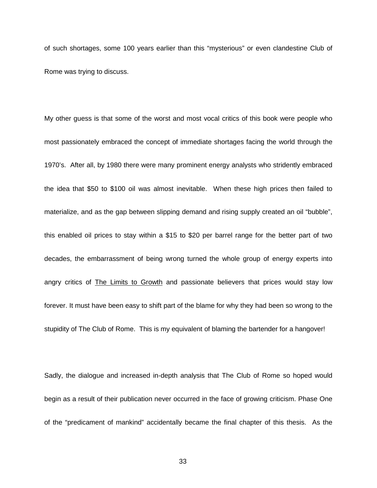of such shortages, some 100 years earlier than this "mysterious" or even clandestine Club of Rome was trying to discuss.

My other guess is that some of the worst and most vocal critics of this book were people who most passionately embraced the concept of immediate shortages facing the world through the 1970's. After all, by 1980 there were many prominent energy analysts who stridently embraced the idea that \$50 to \$100 oil was almost inevitable. When these high prices then failed to materialize, and as the gap between slipping demand and rising supply created an oil "bubble", this enabled oil prices to stay within a \$15 to \$20 per barrel range for the better part of two decades, the embarrassment of being wrong turned the whole group of energy experts into angry critics of The Limits to Growth and passionate believers that prices would stay low forever. It must have been easy to shift part of the blame for why they had been so wrong to the stupidity of The Club of Rome. This is my equivalent of blaming the bartender for a hangover!

Sadly, the dialogue and increased in-depth analysis that The Club of Rome so hoped would begin as a result of their publication never occurred in the face of growing criticism. Phase One of the "predicament of mankind" accidentally became the final chapter of this thesis. As the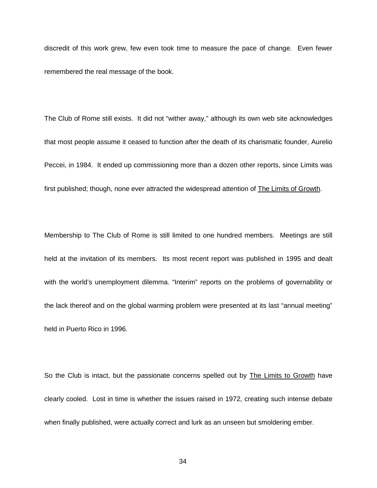discredit of this work grew, few even took time to measure the pace of change. Even fewer remembered the real message of the book.

The Club of Rome still exists. It did not "wither away," although its own web site acknowledges that most people assume it ceased to function after the death of its charismatic founder, Aurelio Peccei, in 1984. It ended up commissioning more than a dozen other reports, since Limits was first published; though, none ever attracted the widespread attention of The Limits of Growth.

Membership to The Club of Rome is still limited to one hundred members. Meetings are still held at the invitation of its members. Its most recent report was published in 1995 and dealt with the world's unemployment dilemma. "Interim" reports on the problems of governability or the lack thereof and on the global warming problem were presented at its last "annual meeting" held in Puerto Rico in 1996.

So the Club is intact, but the passionate concerns spelled out by The Limits to Growth have clearly cooled. Lost in time is whether the issues raised in 1972, creating such intense debate when finally published, were actually correct and lurk as an unseen but smoldering ember.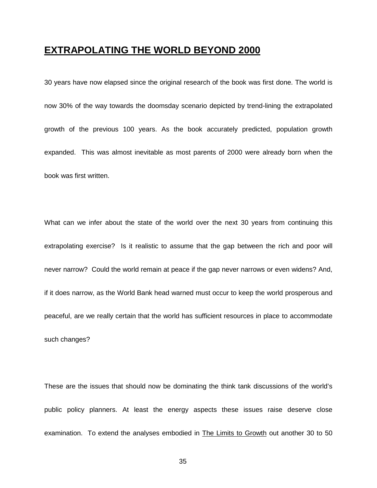## **EXTRAPOLATING THE WORLD BEYOND 2000**

30 years have now elapsed since the original research of the book was first done. The world is now 30% of the way towards the doomsday scenario depicted by trend-lining the extrapolated growth of the previous 100 years. As the book accurately predicted, population growth expanded. This was almost inevitable as most parents of 2000 were already born when the book was first written.

What can we infer about the state of the world over the next 30 years from continuing this extrapolating exercise? Is it realistic to assume that the gap between the rich and poor will never narrow? Could the world remain at peace if the gap never narrows or even widens? And, if it does narrow, as the World Bank head warned must occur to keep the world prosperous and peaceful, are we really certain that the world has sufficient resources in place to accommodate such changes?

These are the issues that should now be dominating the think tank discussions of the world's public policy planners. At least the energy aspects these issues raise deserve close examination. To extend the analyses embodied in The Limits to Growth out another 30 to 50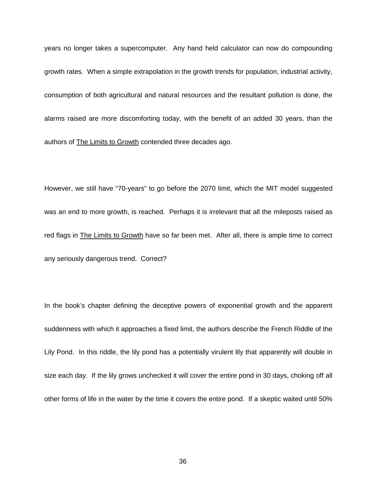years no longer takes a supercomputer. Any hand held calculator can now do compounding growth rates. When a simple extrapolation in the growth trends for population, industrial activity, consumption of both agricultural and natural resources and the resultant pollution is done, the alarms raised are more discomforting today, with the benefit of an added 30 years, than the authors of The Limits to Growth contended three decades ago.

However, we still have "70-years" to go before the 2070 limit, which the MIT model suggested was an end to more growth, is reached. Perhaps it is irrelevant that all the mileposts raised as red flags in The Limits to Growth have so far been met. After all, there is ample time to correct any seriously dangerous trend. Correct?

In the book's chapter defining the deceptive powers of exponential growth and the apparent suddenness with which it approaches a fixed limit, the authors describe the French Riddle of the Lily Pond. In this riddle, the lily pond has a potentially virulent lily that apparently will double in size each day. If the lily grows unchecked it will cover the entire pond in 30 days, choking off all other forms of life in the water by the time it covers the entire pond. If a skeptic waited until 50%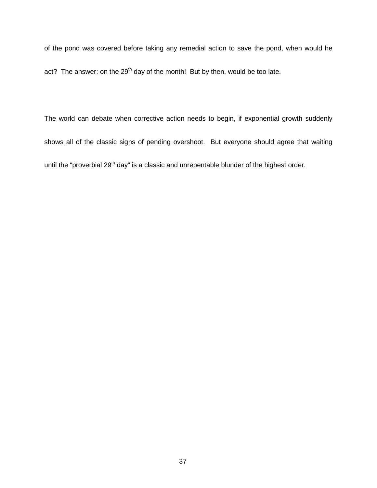of the pond was covered before taking any remedial action to save the pond, when would he act? The answer: on the  $29<sup>th</sup>$  day of the month! But by then, would be too late.

The world can debate when corrective action needs to begin, if exponential growth suddenly shows all of the classic signs of pending overshoot. But everyone should agree that waiting until the "proverbial 29<sup>th</sup> day" is a classic and unrepentable blunder of the highest order.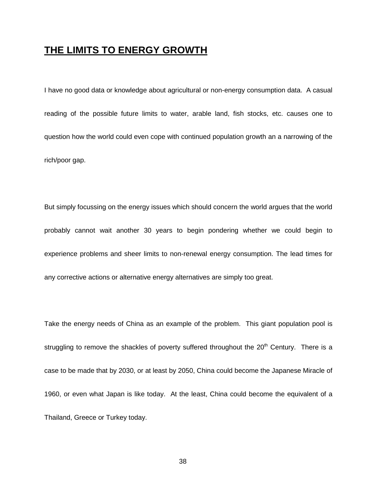## **THE LIMITS TO ENERGY GROWTH**

I have no good data or knowledge about agricultural or non-energy consumption data. A casual reading of the possible future limits to water, arable land, fish stocks, etc. causes one to question how the world could even cope with continued population growth an a narrowing of the rich/poor gap.

But simply focussing on the energy issues which should concern the world argues that the world probably cannot wait another 30 years to begin pondering whether we could begin to experience problems and sheer limits to non-renewal energy consumption. The lead times for any corrective actions or alternative energy alternatives are simply too great.

Take the energy needs of China as an example of the problem. This giant population pool is struggling to remove the shackles of poverty suffered throughout the 20<sup>th</sup> Century. There is a case to be made that by 2030, or at least by 2050, China could become the Japanese Miracle of 1960, or even what Japan is like today. At the least, China could become the equivalent of a Thailand, Greece or Turkey today.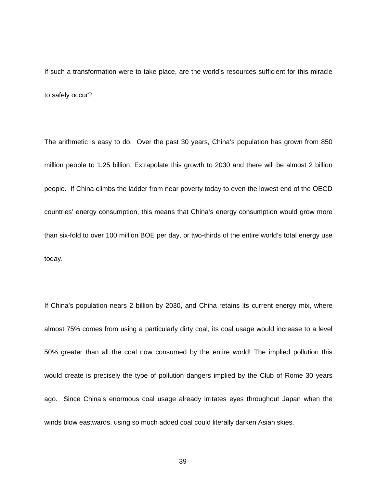If such a transformation were to take place, are the world's resources sufficient for this miracle to safely occur?

The arithmetic is easy to do. Over the past 30 years, China's population has grown from 850 million people to 1.25 billion. Extrapolate this growth to 2030 and there will be almost 2 billion people. If China climbs the ladder from near poverty today to even the lowest end of the OECD countries' energy consumption, this means that China's energy consumption would grow more than six-fold to over 100 million BOE per day, or two-thirds of the entire world's total energy use today.

If China's population nears 2 billion by 2030, and China retains its current energy mix, where almost 75% comes from using a particularly dirty coal, its coal usage would increase to a level 50% greater than all the coal now consumed by the entire world! The implied pollution this would create is precisely the type of pollution dangers implied by the Club of Rome 30 years ago. Since China's enormous coal usage already irritates eyes throughout Japan when the winds blow eastwards, using so much added coal could literally darken Asian skies.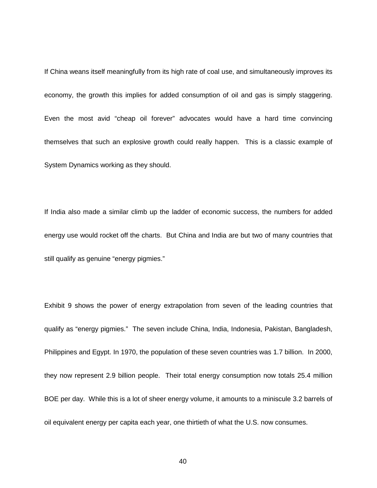If China weans itself meaningfully from its high rate of coal use, and simultaneously improves its economy, the growth this implies for added consumption of oil and gas is simply staggering. Even the most avid "cheap oil forever" advocates would have a hard time convincing themselves that such an explosive growth could really happen. This is a classic example of System Dynamics working as they should.

If India also made a similar climb up the ladder of economic success, the numbers for added energy use would rocket off the charts. But China and India are but two of many countries that still qualify as genuine "energy pigmies."

Exhibit 9 shows the power of energy extrapolation from seven of the leading countries that qualify as "energy pigmies." The seven include China, India, Indonesia, Pakistan, Bangladesh, Philippines and Egypt. In 1970, the population of these seven countries was 1.7 billion. In 2000, they now represent 2.9 billion people. Their total energy consumption now totals 25.4 million BOE per day. While this is a lot of sheer energy volume, it amounts to a miniscule 3.2 barrels of oil equivalent energy per capita each year, one thirtieth of what the U.S. now consumes.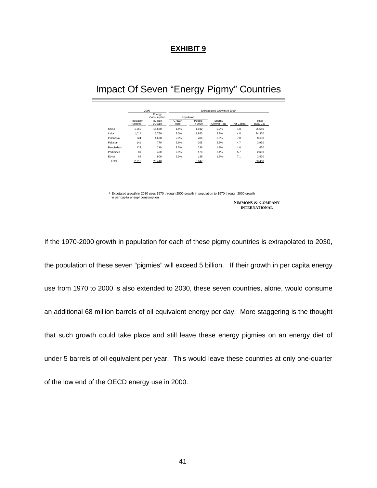#### **EXHIBIT 9**

## Impact Of Seven "Energy Pigmy" Countries

|             |                          | 2000                  | Extrapolated Growth At 20301 |                   |                       |            |                  |  |  |
|-------------|--------------------------|-----------------------|------------------------------|-------------------|-----------------------|------------|------------------|--|--|
|             |                          | Energy<br>Consumption | Popultaion                   |                   |                       |            |                  |  |  |
|             | Population<br>(Millions) | (Million<br>BOE/D)    | Growth<br>Rate               | People<br>In 2030 | Energy<br>Growth Rate | Per Capita | Total<br>BOE/Dav |  |  |
| China       | 1.262                    | 15.680                | 1.5%                         | 1.942             | 0.2%                  | 4.8        | 25.540           |  |  |
| India       | 1.014                    | 5.750                 | 2.0%                         | 1.853             | 2.8%                  | 4.8        | 24.370           |  |  |
| Indonesia   | 224                      | 1.670                 | 2.0%                         | 406               | 3.6%                  | 7.8        | 8.680            |  |  |
| Pakistan    | 141                      | 770                   | 2.6%                         | 305               | 2.9%                  | 4.7        | 3.930            |  |  |
| Bangladesh  | 123                      | 210                   | 2.2%                         | 236               | 1.8%                  | 1.0        | 650              |  |  |
| Phillipines | 81                       | 460                   | 2.5%                         | 170               | 3.4%                  | 5.7        | 2.650            |  |  |
| Egypt       | 68                       | 900                   | 2.3%                         | 135               | 1.3%                  | 7.1        | 2,630            |  |  |
| Total       | 2.913                    | 25.440                |                              | 5.047             |                       |            | 68,450           |  |  |

\_\_\_\_\_\_\_\_\_\_\_\_\_\_\_\_\_\_\_\_\_\_\_\_\_\_ ¹ Expotated growth in 2030 uses 1970 through 2000 growth in population to 1970 through 2000 growth in per capita energy consumption.

**SIMMONS & COMPANY INTERNATIONAL**

If the 1970-2000 growth in population for each of these pigmy countries is extrapolated to 2030, the population of these seven "pigmies" will exceed 5 billion. If their growth in per capita energy use from 1970 to 2000 is also extended to 2030, these seven countries, alone, would consume an additional 68 million barrels of oil equivalent energy per day. More staggering is the thought that such growth could take place and still leave these energy pigmies on an energy diet of under 5 barrels of oil equivalent per year. This would leave these countries at only one-quarter of the low end of the OECD energy use in 2000.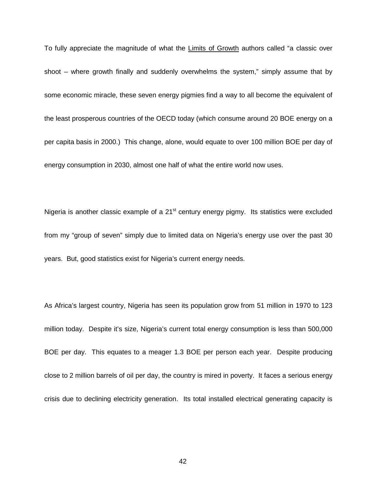To fully appreciate the magnitude of what the Limits of Growth authors called "a classic over shoot – where growth finally and suddenly overwhelms the system," simply assume that by some economic miracle, these seven energy pigmies find a way to all become the equivalent of the least prosperous countries of the OECD today (which consume around 20 BOE energy on a per capita basis in 2000.) This change, alone, would equate to over 100 million BOE per day of energy consumption in 2030, almost one half of what the entire world now uses.

Nigeria is another classic example of a 21<sup>st</sup> century energy pigmy. Its statistics were excluded from my "group of seven" simply due to limited data on Nigeria's energy use over the past 30 years. But, good statistics exist for Nigeria's current energy needs.

As Africa's largest country, Nigeria has seen its population grow from 51 million in 1970 to 123 million today. Despite it's size, Nigeria's current total energy consumption is less than 500,000 BOE per day. This equates to a meager 1.3 BOE per person each year. Despite producing close to 2 million barrels of oil per day, the country is mired in poverty. It faces a serious energy crisis due to declining electricity generation. Its total installed electrical generating capacity is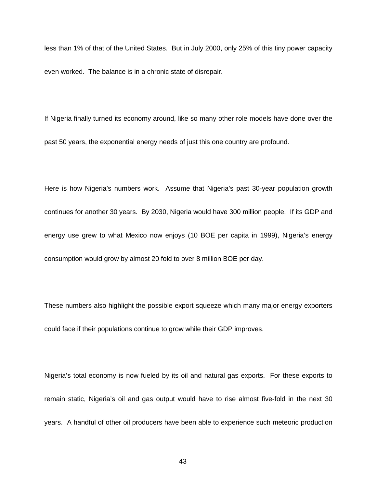less than 1% of that of the United States. But in July 2000, only 25% of this tiny power capacity even worked. The balance is in a chronic state of disrepair.

If Nigeria finally turned its economy around, like so many other role models have done over the past 50 years, the exponential energy needs of just this one country are profound.

Here is how Nigeria's numbers work. Assume that Nigeria's past 30-year population growth continues for another 30 years. By 2030, Nigeria would have 300 million people. If its GDP and energy use grew to what Mexico now enjoys (10 BOE per capita in 1999), Nigeria's energy consumption would grow by almost 20 fold to over 8 million BOE per day.

These numbers also highlight the possible export squeeze which many major energy exporters could face if their populations continue to grow while their GDP improves.

Nigeria's total economy is now fueled by its oil and natural gas exports. For these exports to remain static, Nigeria's oil and gas output would have to rise almost five-fold in the next 30 years. A handful of other oil producers have been able to experience such meteoric production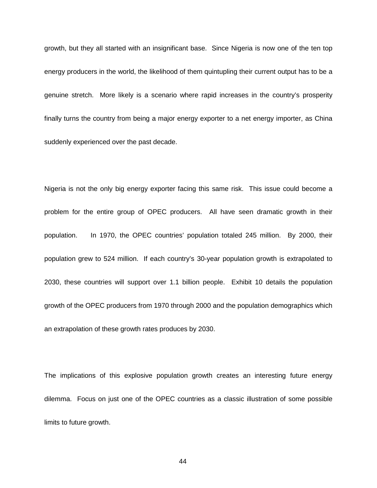growth, but they all started with an insignificant base. Since Nigeria is now one of the ten top energy producers in the world, the likelihood of them quintupling their current output has to be a genuine stretch. More likely is a scenario where rapid increases in the country's prosperity finally turns the country from being a major energy exporter to a net energy importer, as China suddenly experienced over the past decade.

Nigeria is not the only big energy exporter facing this same risk. This issue could become a problem for the entire group of OPEC producers. All have seen dramatic growth in their population. In 1970, the OPEC countries' population totaled 245 million. By 2000, their population grew to 524 million. If each country's 30-year population growth is extrapolated to 2030, these countries will support over 1.1 billion people. Exhibit 10 details the population growth of the OPEC producers from 1970 through 2000 and the population demographics which an extrapolation of these growth rates produces by 2030.

The implications of this explosive population growth creates an interesting future energy dilemma. Focus on just one of the OPEC countries as a classic illustration of some possible limits to future growth.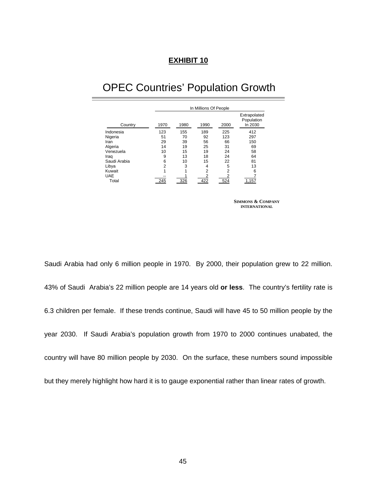#### **EXHIBIT 10**

## OPEC Countries' Population Growth

|              | In Millions Of People |      |                |      |                                       |  |  |
|--------------|-----------------------|------|----------------|------|---------------------------------------|--|--|
| Country      | 1970                  | 1980 | 1990           | 2000 | Extrapolated<br>Population<br>In 2030 |  |  |
| Indonesia    | 123                   | 155  | 189            | 225  | 412                                   |  |  |
| Nigeria      | 51                    | 70   | 92             | 123  | 297                                   |  |  |
| Iran         | 29                    | 39   | 56             | 66   | 150                                   |  |  |
| Algeria      | 14                    | 19   | 25             | 31   | 69                                    |  |  |
| Venezuela    | 10                    | 15   | 19             | 24   | 58                                    |  |  |
| Iraq         | 9                     | 13   | 18             | 24   | 64                                    |  |  |
| Saudi Arabia | 6                     | 10   | 15             | 22   | 81                                    |  |  |
| Libya        | 2                     | 3    | 4              | 5    | 13                                    |  |  |
| Kuwait       |                       |      | $\overline{2}$ | 2    | 6                                     |  |  |
| <b>UAE</b>   |                       |      |                |      |                                       |  |  |
| Total        | 245                   | 326  | 422            | 524  | 1,157                                 |  |  |

**SIMMONS & COMPANY INTERNATIONAL**

Saudi Arabia had only 6 million people in 1970. By 2000, their population grew to 22 million. 43% of Saudi Arabia's 22 million people are 14 years old **or less**. The country's fertility rate is 6.3 children per female. If these trends continue, Saudi will have 45 to 50 million people by the year 2030. If Saudi Arabia's population growth from 1970 to 2000 continues unabated, the country will have 80 million people by 2030. On the surface, these numbers sound impossible but they merely highlight how hard it is to gauge exponential rather than linear rates of growth.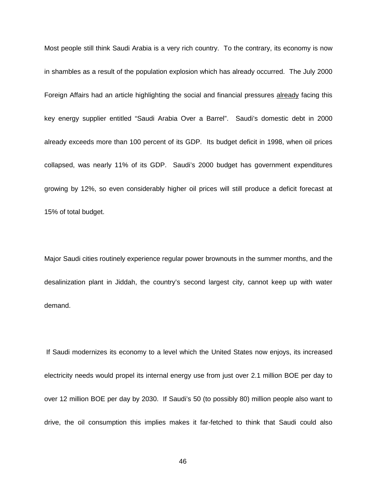Most people still think Saudi Arabia is a very rich country. To the contrary, its economy is now in shambles as a result of the population explosion which has already occurred. The July 2000 Foreign Affairs had an article highlighting the social and financial pressures already facing this key energy supplier entitled "Saudi Arabia Over a Barrel". Saudi's domestic debt in 2000 already exceeds more than 100 percent of its GDP. Its budget deficit in 1998, when oil prices collapsed, was nearly 11% of its GDP. Saudi's 2000 budget has government expenditures growing by 12%, so even considerably higher oil prices will still produce a deficit forecast at 15% of total budget.

Major Saudi cities routinely experience regular power brownouts in the summer months, and the desalinization plant in Jiddah, the country's second largest city, cannot keep up with water demand.

 If Saudi modernizes its economy to a level which the United States now enjoys, its increased electricity needs would propel its internal energy use from just over 2.1 million BOE per day to over 12 million BOE per day by 2030. If Saudi's 50 (to possibly 80) million people also want to drive, the oil consumption this implies makes it far-fetched to think that Saudi could also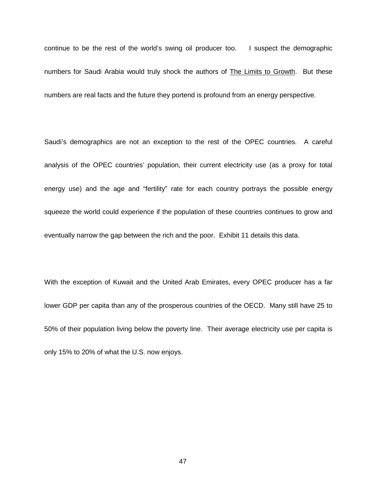continue to be the rest of the world's swing oil producer too. I suspect the demographic numbers for Saudi Arabia would truly shock the authors of The Limits to Growth. But these numbers are real facts and the future they portend is profound from an energy perspective.

Saudi's demographics are not an exception to the rest of the OPEC countries. A careful analysis of the OPEC countries' population, their current electricity use (as a proxy for total energy use) and the age and "fertility" rate for each country portrays the possible energy squeeze the world could experience if the population of these countries continues to grow and eventually narrow the gap between the rich and the poor. Exhibit 11 details this data.

With the exception of Kuwait and the United Arab Emirates, every OPEC producer has a far lower GDP per capita than any of the prosperous countries of the OECD. Many still have 25 to 50% of their population living below the poverty line. Their average electricity use per capita is only 15% to 20% of what the U.S. now enjoys.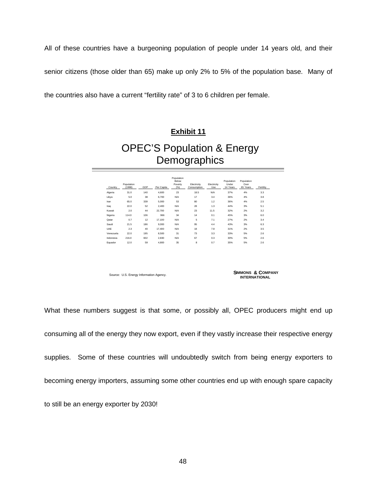All of these countries have a burgeoning population of people under 14 years old, and their

senior citizens (those older than 65) make up only 2% to 5% of the population base. Many of

the countries also have a current "fertility rate" of 3 to 6 children per female.

# **Exhibit 11** OPEC'S Population & Energy **Demographics**

| Country   | Population<br>(1988) | GDP | Per Capita | Population<br>Below<br>Poverty<br>(%) | Electricity<br>Consumption | Electricity<br>Use | Population<br>Under<br>14 Years | Population<br>Over<br>65 Years | Fertility |
|-----------|----------------------|-----|------------|---------------------------------------|----------------------------|--------------------|---------------------------------|--------------------------------|-----------|
| Algeria   | 31.0                 | 140 | 4,600      | 23                                    | 18.5                       | N/A                | 37%                             | 4%                             | 3.3       |
| Libya     | 5.0                  | 38  | 6,700      | N/A                                   | 17                         | 3.4                | 36%                             | 4%                             | 3.8       |
| Iran      | 65.0                 | 339 | 5,000      | 53                                    | 80                         | 1.2                | 36%                             | 4%                             | 2.5       |
| Iraq      | 22.0                 | 52  | 2.400      | N/A                                   | 28                         | 1.3                | 44%                             | 3%                             | 5.1       |
| Kuwait    | 2.0                  | 44  | 22,700     | N/A                                   | 23                         | 11.5               | 32%                             | 2%                             | 3.2       |
| Nigeria   | 114.0                | 106 | 966        | 34                                    | 14                         | 0.1                | 45%                             | 3%                             | 6.0       |
| Qatar     | 0.7                  | 12  | 17.100     | N/A                                   | 5                          | 7.1                | 27%                             | 2%                             | 3.4       |
| Saudi     | 21.5                 | 186 | 9,000      | N/A                                   | 95                         | 4.4                | 43%                             | 3%                             | 6.3       |
| UAE       | 2.3                  | 40  | 17,400     | N/A                                   | 18                         | 7.8                | 31%                             | 2%                             | 3.5       |
| Venezuela | 22.0                 | 195 | 8,500      | 31                                    | 73                         | 3.3                | 33%                             | 5%                             | 2.6       |
| Indonesia | 216.0                | 602 | 2,830      | N/A                                   | 67                         | 0.3                | 30%                             | 5%                             | 2.6       |
| Equador   | 12.0                 | 59  | 4,800      | 35                                    | 8                          | 0.7                | 35%                             | 5%                             | 2.6       |

Source: U.S. Energy Information Agency.

**SIMMONS & COMPANY INTERNATIONAL**

What these numbers suggest is that some, or possibly all, OPEC producers might end up consuming all of the energy they now export, even if they vastly increase their respective energy supplies. Some of these countries will undoubtedly switch from being energy exporters to becoming energy importers, assuming some other countries end up with enough spare capacity to still be an energy exporter by 2030!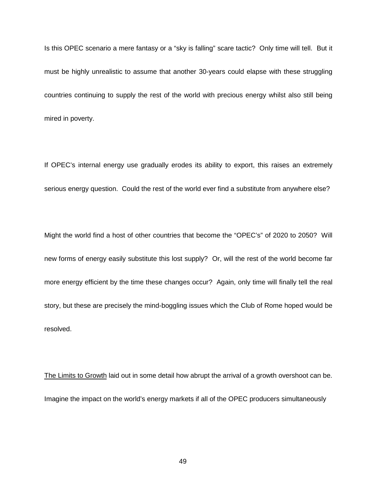Is this OPEC scenario a mere fantasy or a "sky is falling" scare tactic? Only time will tell. But it must be highly unrealistic to assume that another 30-years could elapse with these struggling countries continuing to supply the rest of the world with precious energy whilst also still being mired in poverty.

If OPEC's internal energy use gradually erodes its ability to export, this raises an extremely serious energy question. Could the rest of the world ever find a substitute from anywhere else?

Might the world find a host of other countries that become the "OPEC's" of 2020 to 2050? Will new forms of energy easily substitute this lost supply? Or, will the rest of the world become far more energy efficient by the time these changes occur? Again, only time will finally tell the real story, but these are precisely the mind-boggling issues which the Club of Rome hoped would be resolved.

The Limits to Growth laid out in some detail how abrupt the arrival of a growth overshoot can be. Imagine the impact on the world's energy markets if all of the OPEC producers simultaneously

49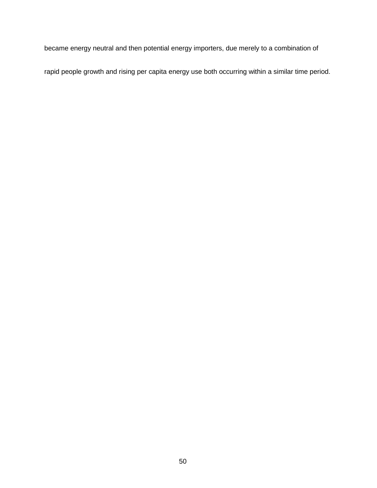became energy neutral and then potential energy importers, due merely to a combination of

rapid people growth and rising per capita energy use both occurring within a similar time period.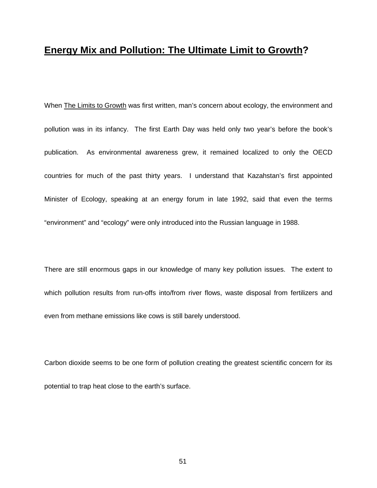### **Energy Mix and Pollution: The Ultimate Limit to Growth?**

When The Limits to Growth was first written, man's concern about ecology, the environment and pollution was in its infancy. The first Earth Day was held only two year's before the book's publication. As environmental awareness grew, it remained localized to only the OECD countries for much of the past thirty years. I understand that Kazahstan's first appointed Minister of Ecology, speaking at an energy forum in late 1992, said that even the terms "environment" and "ecology" were only introduced into the Russian language in 1988.

There are still enormous gaps in our knowledge of many key pollution issues. The extent to which pollution results from run-offs into/from river flows, waste disposal from fertilizers and even from methane emissions like cows is still barely understood.

Carbon dioxide seems to be one form of pollution creating the greatest scientific concern for its potential to trap heat close to the earth's surface.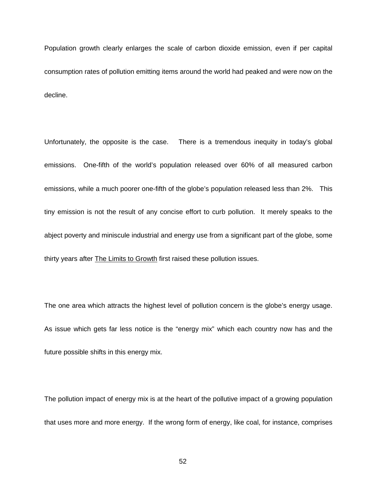Population growth clearly enlarges the scale of carbon dioxide emission, even if per capital consumption rates of pollution emitting items around the world had peaked and were now on the decline.

Unfortunately, the opposite is the case. There is a tremendous inequity in today's global emissions. One-fifth of the world's population released over 60% of all measured carbon emissions, while a much poorer one-fifth of the globe's population released less than 2%. This tiny emission is not the result of any concise effort to curb pollution. It merely speaks to the abject poverty and miniscule industrial and energy use from a significant part of the globe, some thirty years after The Limits to Growth first raised these pollution issues.

The one area which attracts the highest level of pollution concern is the globe's energy usage. As issue which gets far less notice is the "energy mix" which each country now has and the future possible shifts in this energy mix.

The pollution impact of energy mix is at the heart of the pollutive impact of a growing population that uses more and more energy. If the wrong form of energy, like coal, for instance, comprises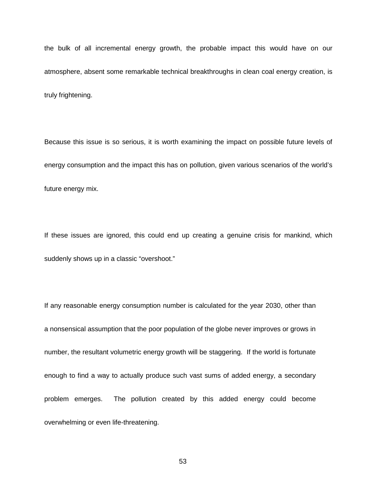the bulk of all incremental energy growth, the probable impact this would have on our atmosphere, absent some remarkable technical breakthroughs in clean coal energy creation, is truly frightening.

Because this issue is so serious, it is worth examining the impact on possible future levels of energy consumption and the impact this has on pollution, given various scenarios of the world's future energy mix.

If these issues are ignored, this could end up creating a genuine crisis for mankind, which suddenly shows up in a classic "overshoot."

If any reasonable energy consumption number is calculated for the year 2030, other than a nonsensical assumption that the poor population of the globe never improves or grows in number, the resultant volumetric energy growth will be staggering. If the world is fortunate enough to find a way to actually produce such vast sums of added energy, a secondary problem emerges. The pollution created by this added energy could become overwhelming or even life-threatening.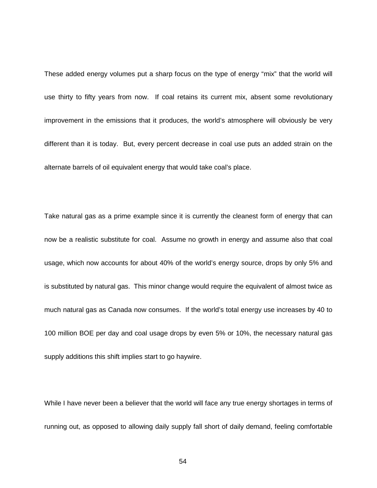These added energy volumes put a sharp focus on the type of energy "mix" that the world will use thirty to fifty years from now. If coal retains its current mix, absent some revolutionary improvement in the emissions that it produces, the world's atmosphere will obviously be very different than it is today. But, every percent decrease in coal use puts an added strain on the alternate barrels of oil equivalent energy that would take coal's place.

Take natural gas as a prime example since it is currently the cleanest form of energy that can now be a realistic substitute for coal. Assume no growth in energy and assume also that coal usage, which now accounts for about 40% of the world's energy source, drops by only 5% and is substituted by natural gas. This minor change would require the equivalent of almost twice as much natural gas as Canada now consumes. If the world's total energy use increases by 40 to 100 million BOE per day and coal usage drops by even 5% or 10%, the necessary natural gas supply additions this shift implies start to go haywire.

While I have never been a believer that the world will face any true energy shortages in terms of running out, as opposed to allowing daily supply fall short of daily demand, feeling comfortable

54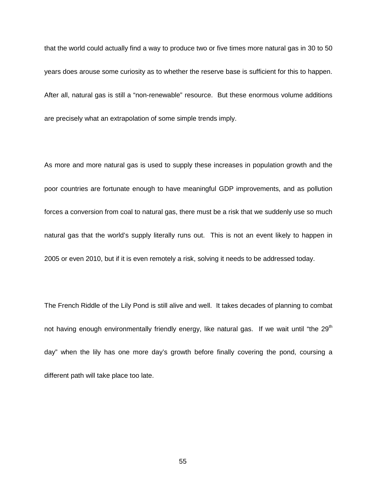that the world could actually find a way to produce two or five times more natural gas in 30 to 50 years does arouse some curiosity as to whether the reserve base is sufficient for this to happen. After all, natural gas is still a "non-renewable" resource. But these enormous volume additions are precisely what an extrapolation of some simple trends imply.

As more and more natural gas is used to supply these increases in population growth and the poor countries are fortunate enough to have meaningful GDP improvements, and as pollution forces a conversion from coal to natural gas, there must be a risk that we suddenly use so much natural gas that the world's supply literally runs out. This is not an event likely to happen in 2005 or even 2010, but if it is even remotely a risk, solving it needs to be addressed today.

The French Riddle of the Lily Pond is still alive and well. It takes decades of planning to combat not having enough environmentally friendly energy, like natural gas. If we wait until "the  $29<sup>th</sup>$ day" when the lily has one more day's growth before finally covering the pond, coursing a different path will take place too late.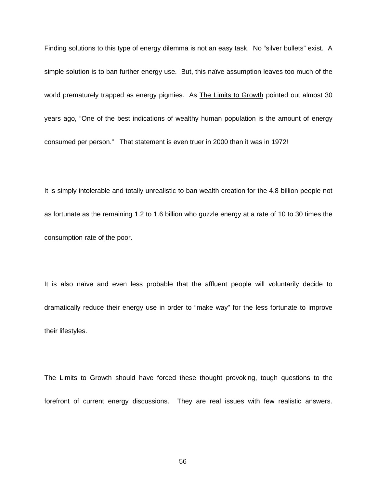Finding solutions to this type of energy dilemma is not an easy task. No "silver bullets" exist. A simple solution is to ban further energy use. But, this naïve assumption leaves too much of the world prematurely trapped as energy pigmies. As The Limits to Growth pointed out almost 30 years ago, "One of the best indications of wealthy human population is the amount of energy consumed per person." That statement is even truer in 2000 than it was in 1972!

It is simply intolerable and totally unrealistic to ban wealth creation for the 4.8 billion people not as fortunate as the remaining 1.2 to 1.6 billion who guzzle energy at a rate of 10 to 30 times the consumption rate of the poor.

It is also naïve and even less probable that the affluent people will voluntarily decide to dramatically reduce their energy use in order to "make way" for the less fortunate to improve their lifestyles.

The Limits to Growth should have forced these thought provoking, tough questions to the forefront of current energy discussions. They are real issues with few realistic answers.

56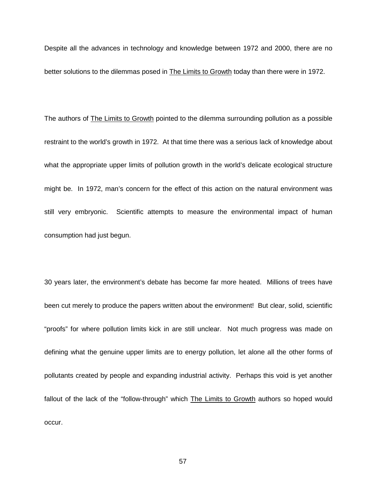Despite all the advances in technology and knowledge between 1972 and 2000, there are no better solutions to the dilemmas posed in The Limits to Growth today than there were in 1972.

The authors of The Limits to Growth pointed to the dilemma surrounding pollution as a possible restraint to the world's growth in 1972. At that time there was a serious lack of knowledge about what the appropriate upper limits of pollution growth in the world's delicate ecological structure might be. In 1972, man's concern for the effect of this action on the natural environment was still very embryonic. Scientific attempts to measure the environmental impact of human consumption had just begun.

30 years later, the environment's debate has become far more heated. Millions of trees have been cut merely to produce the papers written about the environment! But clear, solid, scientific "proofs" for where pollution limits kick in are still unclear. Not much progress was made on defining what the genuine upper limits are to energy pollution, let alone all the other forms of pollutants created by people and expanding industrial activity. Perhaps this void is yet another fallout of the lack of the "follow-through" which The Limits to Growth authors so hoped would occur.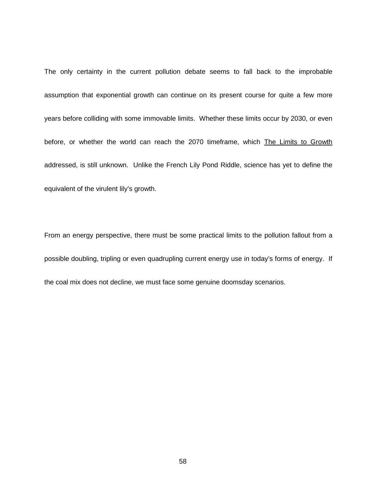The only certainty in the current pollution debate seems to fall back to the improbable assumption that exponential growth can continue on its present course for quite a few more years before colliding with some immovable limits. Whether these limits occur by 2030, or even before, or whether the world can reach the 2070 timeframe, which The Limits to Growth addressed, is still unknown. Unlike the French Lily Pond Riddle, science has yet to define the equivalent of the virulent lily's growth.

From an energy perspective, there must be some practical limits to the pollution fallout from a possible doubling, tripling or even quadrupling current energy use in today's forms of energy. If the coal mix does not decline, we must face some genuine doomsday scenarios.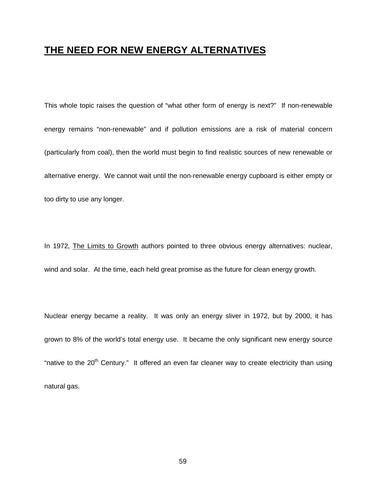## **THE NEED FOR NEW ENERGY ALTERNATIVES**

This whole topic raises the question of "what other form of energy is next?" If non-renewable energy remains "non-renewable" and if pollution emissions are a risk of material concern (particularly from coal), then the world must begin to find realistic sources of new renewable or alternative energy. We cannot wait until the non-renewable energy cupboard is either empty or too dirty to use any longer.

In 1972, The Limits to Growth authors pointed to three obvious energy alternatives: nuclear, wind and solar. At the time, each held great promise as the future for clean energy growth.

Nuclear energy became a reality. It was only an energy sliver in 1972, but by 2000, it has grown to 8% of the world's total energy use. It became the only significant new energy source "native to the 20<sup>th</sup> Century." It offered an even far cleaner way to create electricity than using natural gas.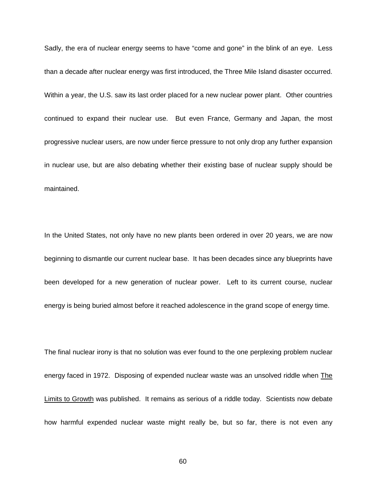Sadly, the era of nuclear energy seems to have "come and gone" in the blink of an eye. Less than a decade after nuclear energy was first introduced, the Three Mile Island disaster occurred. Within a year, the U.S. saw its last order placed for a new nuclear power plant. Other countries continued to expand their nuclear use. But even France, Germany and Japan, the most progressive nuclear users, are now under fierce pressure to not only drop any further expansion in nuclear use, but are also debating whether their existing base of nuclear supply should be maintained.

In the United States, not only have no new plants been ordered in over 20 years, we are now beginning to dismantle our current nuclear base. It has been decades since any blueprints have been developed for a new generation of nuclear power. Left to its current course, nuclear energy is being buried almost before it reached adolescence in the grand scope of energy time.

The final nuclear irony is that no solution was ever found to the one perplexing problem nuclear energy faced in 1972. Disposing of expended nuclear waste was an unsolved riddle when The Limits to Growth was published. It remains as serious of a riddle today. Scientists now debate how harmful expended nuclear waste might really be, but so far, there is not even any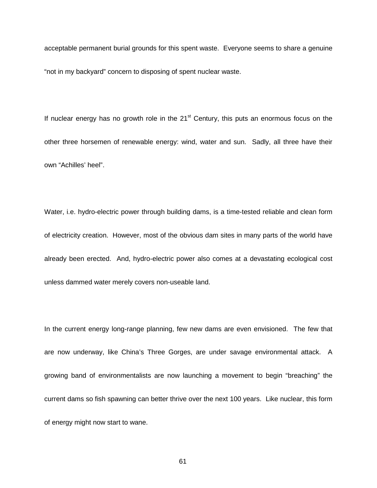acceptable permanent burial grounds for this spent waste. Everyone seems to share a genuine "not in my backyard" concern to disposing of spent nuclear waste.

If nuclear energy has no growth role in the  $21<sup>st</sup>$  Century, this puts an enormous focus on the other three horsemen of renewable energy: wind, water and sun. Sadly, all three have their own "Achilles' heel".

Water, i.e. hydro-electric power through building dams, is a time-tested reliable and clean form of electricity creation. However, most of the obvious dam sites in many parts of the world have already been erected. And, hydro-electric power also comes at a devastating ecological cost unless dammed water merely covers non-useable land.

In the current energy long-range planning, few new dams are even envisioned. The few that are now underway, like China's Three Gorges, are under savage environmental attack. A growing band of environmentalists are now launching a movement to begin "breaching" the current dams so fish spawning can better thrive over the next 100 years. Like nuclear, this form of energy might now start to wane.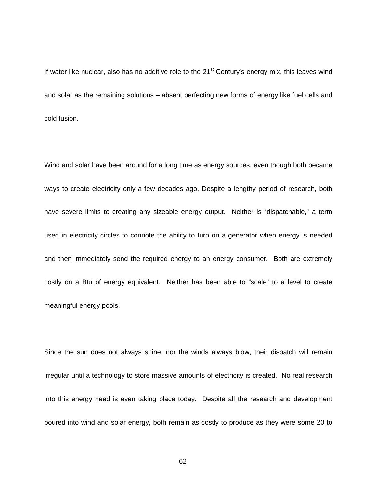If water like nuclear, also has no additive role to the  $21<sup>st</sup>$  Century's energy mix, this leaves wind and solar as the remaining solutions – absent perfecting new forms of energy like fuel cells and cold fusion.

Wind and solar have been around for a long time as energy sources, even though both became ways to create electricity only a few decades ago. Despite a lengthy period of research, both have severe limits to creating any sizeable energy output. Neither is "dispatchable," a term used in electricity circles to connote the ability to turn on a generator when energy is needed and then immediately send the required energy to an energy consumer. Both are extremely costly on a Btu of energy equivalent. Neither has been able to "scale" to a level to create meaningful energy pools.

Since the sun does not always shine, nor the winds always blow, their dispatch will remain irregular until a technology to store massive amounts of electricity is created. No real research into this energy need is even taking place today. Despite all the research and development poured into wind and solar energy, both remain as costly to produce as they were some 20 to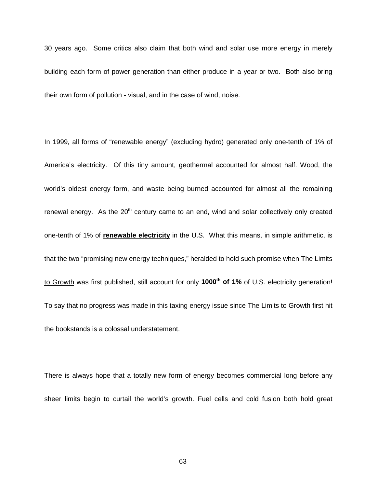30 years ago. Some critics also claim that both wind and solar use more energy in merely building each form of power generation than either produce in a year or two. Both also bring their own form of pollution - visual, and in the case of wind, noise.

In 1999, all forms of "renewable energy" (excluding hydro) generated only one-tenth of 1% of America's electricity. Of this tiny amount, geothermal accounted for almost half. Wood, the world's oldest energy form, and waste being burned accounted for almost all the remaining renewal energy. As the  $20<sup>th</sup>$  century came to an end, wind and solar collectively only created one-tenth of 1% of **renewable electricity** in the U.S. What this means, in simple arithmetic, is that the two "promising new energy techniques," heralded to hold such promise when The Limits to Growth was first published, still account for only 1000<sup>th</sup> of 1% of U.S. electricity generation! To say that no progress was made in this taxing energy issue since The Limits to Growth first hit the bookstands is a colossal understatement.

There is always hope that a totally new form of energy becomes commercial long before any sheer limits begin to curtail the world's growth. Fuel cells and cold fusion both hold great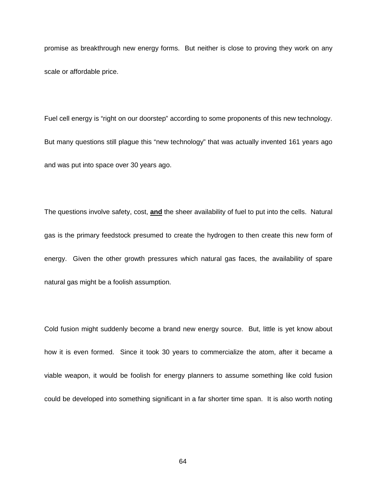promise as breakthrough new energy forms. But neither is close to proving they work on any scale or affordable price.

Fuel cell energy is "right on our doorstep" according to some proponents of this new technology. But many questions still plague this "new technology" that was actually invented 161 years ago and was put into space over 30 years ago.

The questions involve safety, cost, **and** the sheer availability of fuel to put into the cells. Natural gas is the primary feedstock presumed to create the hydrogen to then create this new form of energy. Given the other growth pressures which natural gas faces, the availability of spare natural gas might be a foolish assumption.

Cold fusion might suddenly become a brand new energy source. But, little is yet know about how it is even formed. Since it took 30 years to commercialize the atom, after it became a viable weapon, it would be foolish for energy planners to assume something like cold fusion could be developed into something significant in a far shorter time span. It is also worth noting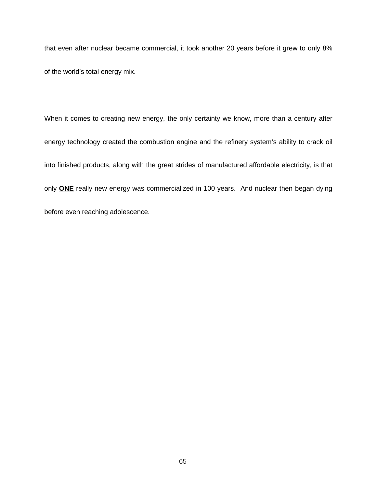that even after nuclear became commercial, it took another 20 years before it grew to only 8% of the world's total energy mix.

When it comes to creating new energy, the only certainty we know, more than a century after energy technology created the combustion engine and the refinery system's ability to crack oil into finished products, along with the great strides of manufactured affordable electricity, is that only **ONE** really new energy was commercialized in 100 years. And nuclear then began dying before even reaching adolescence.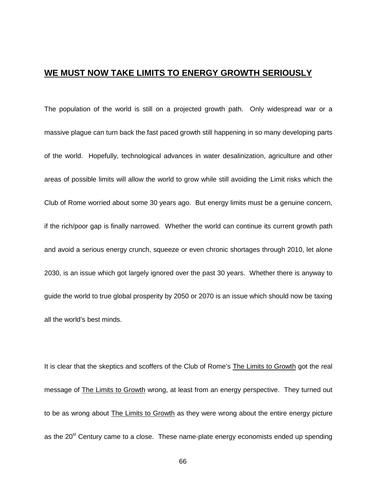### **WE MUST NOW TAKE LIMITS TO ENERGY GROWTH SERIOUSLY**

The population of the world is still on a projected growth path. Only widespread war or a massive plague can turn back the fast paced growth still happening in so many developing parts of the world. Hopefully, technological advances in water desalinization, agriculture and other areas of possible limits will allow the world to grow while still avoiding the Limit risks which the Club of Rome worried about some 30 years ago. But energy limits must be a genuine concern, if the rich/poor gap is finally narrowed. Whether the world can continue its current growth path and avoid a serious energy crunch, squeeze or even chronic shortages through 2010, let alone 2030, is an issue which got largely ignored over the past 30 years. Whether there is anyway to guide the world to true global prosperity by 2050 or 2070 is an issue which should now be taxing all the world's best minds.

It is clear that the skeptics and scoffers of the Club of Rome's The Limits to Growth got the real message of The Limits to Growth wrong, at least from an energy perspective. They turned out to be as wrong about The Limits to Growth as they were wrong about the entire energy picture as the 20<sup>st</sup> Century came to a close. These name-plate energy economists ended up spending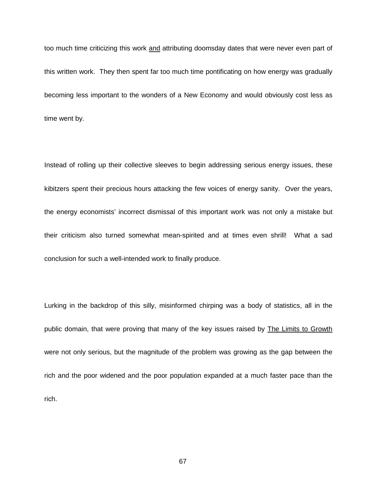too much time criticizing this work and attributing doomsday dates that were never even part of this written work. They then spent far too much time pontificating on how energy was gradually becoming less important to the wonders of a New Economy and would obviously cost less as time went by.

Instead of rolling up their collective sleeves to begin addressing serious energy issues, these kibitzers spent their precious hours attacking the few voices of energy sanity. Over the years, the energy economists' incorrect dismissal of this important work was not only a mistake but their criticism also turned somewhat mean-spirited and at times even shrill! What a sad conclusion for such a well-intended work to finally produce.

Lurking in the backdrop of this silly, misinformed chirping was a body of statistics, all in the public domain, that were proving that many of the key issues raised by The Limits to Growth were not only serious, but the magnitude of the problem was growing as the gap between the rich and the poor widened and the poor population expanded at a much faster pace than the rich.

67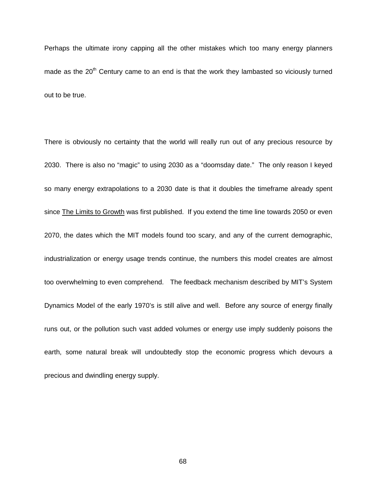Perhaps the ultimate irony capping all the other mistakes which too many energy planners made as the  $20<sup>th</sup>$  Century came to an end is that the work they lambasted so viciously turned out to be true.

There is obviously no certainty that the world will really run out of any precious resource by 2030. There is also no "magic" to using 2030 as a "doomsday date." The only reason I keyed so many energy extrapolations to a 2030 date is that it doubles the timeframe already spent since The Limits to Growth was first published. If you extend the time line towards 2050 or even 2070, the dates which the MIT models found too scary, and any of the current demographic, industrialization or energy usage trends continue, the numbers this model creates are almost too overwhelming to even comprehend. The feedback mechanism described by MIT's System Dynamics Model of the early 1970's is still alive and well. Before any source of energy finally runs out, or the pollution such vast added volumes or energy use imply suddenly poisons the earth, some natural break will undoubtedly stop the economic progress which devours a precious and dwindling energy supply.

68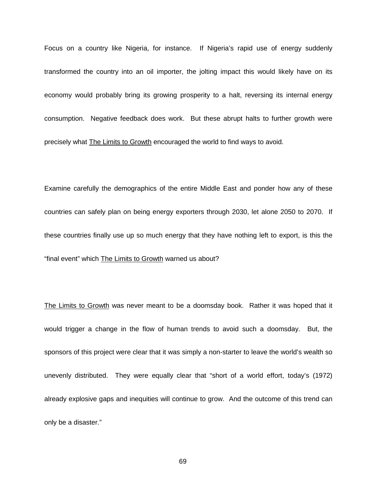Focus on a country like Nigeria, for instance. If Nigeria's rapid use of energy suddenly transformed the country into an oil importer, the jolting impact this would likely have on its economy would probably bring its growing prosperity to a halt, reversing its internal energy consumption. Negative feedback does work. But these abrupt halts to further growth were precisely what The Limits to Growth encouraged the world to find ways to avoid.

Examine carefully the demographics of the entire Middle East and ponder how any of these countries can safely plan on being energy exporters through 2030, let alone 2050 to 2070. If these countries finally use up so much energy that they have nothing left to export, is this the "final event" which The Limits to Growth warned us about?

The Limits to Growth was never meant to be a doomsday book. Rather it was hoped that it would trigger a change in the flow of human trends to avoid such a doomsday. But, the sponsors of this project were clear that it was simply a non-starter to leave the world's wealth so unevenly distributed. They were equally clear that "short of a world effort, today's (1972) already explosive gaps and inequities will continue to grow. And the outcome of this trend can only be a disaster."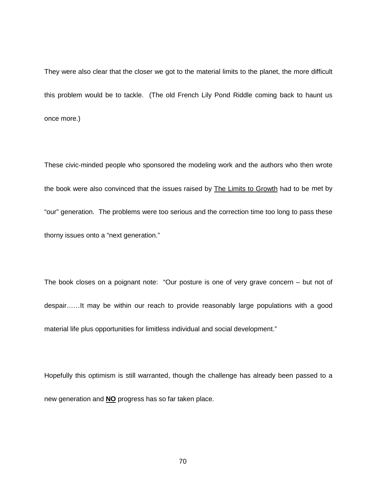They were also clear that the closer we got to the material limits to the planet, the more difficult this problem would be to tackle. (The old French Lily Pond Riddle coming back to haunt us once more.)

These civic-minded people who sponsored the modeling work and the authors who then wrote the book were also convinced that the issues raised by The Limits to Growth had to be met by "our" generation. The problems were too serious and the correction time too long to pass these thorny issues onto a "next generation."

The book closes on a poignant note: "Our posture is one of very grave concern – but not of despair……It may be within our reach to provide reasonably large populations with a good material life plus opportunities for limitless individual and social development."

Hopefully this optimism is still warranted, though the challenge has already been passed to a new generation and **NO** progress has so far taken place.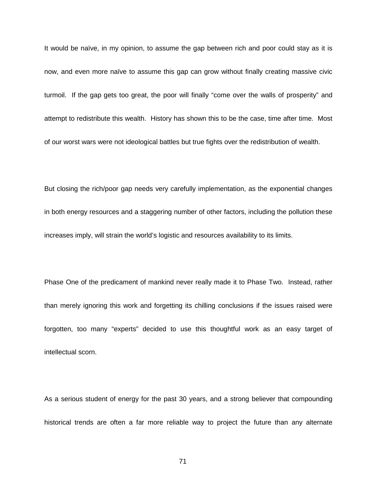It would be naïve, in my opinion, to assume the gap between rich and poor could stay as it is now, and even more naïve to assume this gap can grow without finally creating massive civic turmoil. If the gap gets too great, the poor will finally "come over the walls of prosperity" and attempt to redistribute this wealth. History has shown this to be the case, time after time. Most of our worst wars were not ideological battles but true fights over the redistribution of wealth.

But closing the rich/poor gap needs very carefully implementation, as the exponential changes in both energy resources and a staggering number of other factors, including the pollution these increases imply, will strain the world's logistic and resources availability to its limits.

Phase One of the predicament of mankind never really made it to Phase Two. Instead, rather than merely ignoring this work and forgetting its chilling conclusions if the issues raised were forgotten, too many "experts" decided to use this thoughtful work as an easy target of intellectual scorn.

As a serious student of energy for the past 30 years, and a strong believer that compounding historical trends are often a far more reliable way to project the future than any alternate

71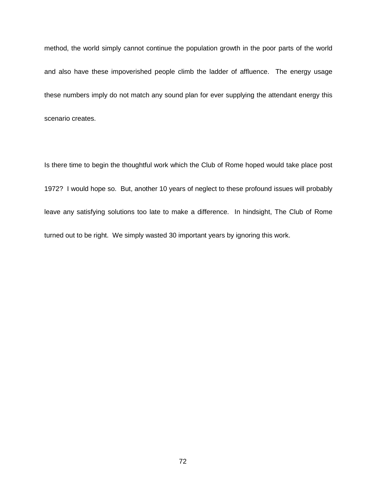method, the world simply cannot continue the population growth in the poor parts of the world and also have these impoverished people climb the ladder of affluence. The energy usage these numbers imply do not match any sound plan for ever supplying the attendant energy this scenario creates.

Is there time to begin the thoughtful work which the Club of Rome hoped would take place post 1972? I would hope so. But, another 10 years of neglect to these profound issues will probably leave any satisfying solutions too late to make a difference. In hindsight, The Club of Rome turned out to be right. We simply wasted 30 important years by ignoring this work.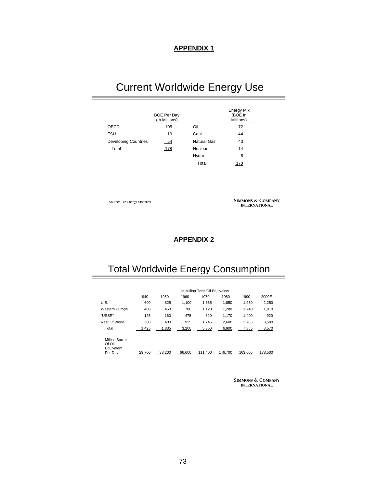# Current Worldwide Energy Use

|                             | <b>BOE Per Day</b><br>(In Millions) |             | <b>Energy Mix</b><br>(BOE In<br>Millions) |
|-----------------------------|-------------------------------------|-------------|-------------------------------------------|
| <b>OECD</b>                 | 105                                 | Oil         | 72                                        |
| <b>FSU</b>                  | 19                                  | Coal        | 44                                        |
| <b>Developing Countries</b> | $-54$                               | Natural Gas | 43                                        |
| Total                       | 178                                 | Nuclear     | 14                                        |
|                             |                                     | Hydro       | 5                                         |
|                             |                                     | Total       | 178                                       |

Source: BP Energy Statistics.

**SIMMONS & COMPANY INTERNATIONAL**

#### **APPENDIX 2**

### Total Worldwide Energy Consumption

|                                                |        | In Million Tons Oil Equivalent |        |         |         |         |         |  |
|------------------------------------------------|--------|--------------------------------|--------|---------|---------|---------|---------|--|
|                                                | 1940   | 1950                           | 1960   | 1970    | 1980    | 1990    | 2000E   |  |
| U.S.                                           | 600    | 825                            | 1.100  | 1,665   | 1,850   | 1.930   | 2,250   |  |
| Western Europe                                 | 400    | 450                            | 700    | 1.120   | 1.280   | 1.740   | 1,810   |  |
| "USSR"                                         | 125    | 160                            | 475    | 820     | 1.170   | 1.400   | 920     |  |
| <b>Rest Of World</b>                           | 300    | 400                            | 925    | 1,745   | 2,600   | 2,785   | 3,590   |  |
| Total                                          | 1,425  | 1,835                          | 3,200  | 5,350   | 6,900   | 7,855   | 8,570   |  |
| <b>Million Barrels</b><br>Of Oil<br>Equivalent |        |                                |        |         |         |         |         |  |
| Per Day                                        | 29.700 | 38.200                         | 66.600 | 111.400 | 146.700 | 163,600 | 178,500 |  |

**SIMMONS & COMPANY INTERNATIONAL**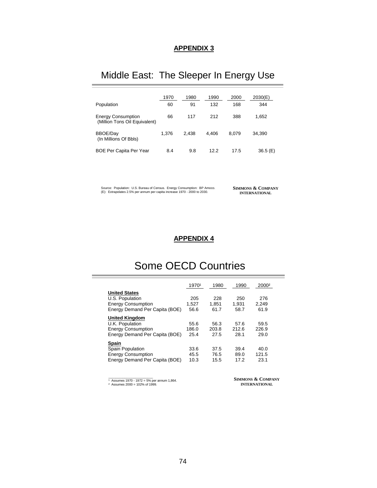### Middle East: The Sleeper In Energy Use

|                                                            | 1970  | 1980  | 1990  | 2000  | 2030(E) |
|------------------------------------------------------------|-------|-------|-------|-------|---------|
| Population                                                 | 60    | 91    | 132   | 168   | 344     |
| <b>Energy Consumption</b><br>(Million Tons Oil Equivalent) | 66    | 117   | 212   | 388   | 1,652   |
| <b>BBOE/Day</b><br>(In Millions Of Bbls)                   | 1.376 | 2.438 | 4.406 | 8.079 | 34.390  |
| <b>BOE Per Capita Per Year</b>                             | 8.4   | 9.8   | 12.2  | 17.5  | 36.5(E) |

Source: Population: U.S. Bureau of Census. Energy Consumption: BP Amoco. (E): Extrapolates 2.5% per annum per capita increase 1970 - 2000 to 2030.

**SIMMONS & COMPANY INTERNATIONAL**

and the control of the control of

### **APPENDIX 4**

## Some OECD Countries

|                                                                                                         | 19701                 | 1980                  | 1990                  | 2000 <sup>2</sup>     |
|---------------------------------------------------------------------------------------------------------|-----------------------|-----------------------|-----------------------|-----------------------|
| <b>United States</b><br>U.S. Population<br><b>Energy Consumption</b><br>Energy Demand Per Capita (BOE)  | 205<br>1.527<br>56.6  | 228<br>1.851<br>61.7  | 250<br>1.931<br>58.7  | 276<br>2.249<br>61.9  |
| <b>United Kingdom</b><br>U.K. Population<br><b>Energy Consumption</b><br>Energy Demand Per Capita (BOE) | 55.6<br>186.0<br>25.4 | 56.3<br>203.8<br>27.5 | 57.6<br>212.6<br>28.1 | 59.5<br>226.9<br>29.0 |
| <b>Spain</b><br>Spain Population<br><b>Energy Consumption</b><br>Energy Demand Per Capita (BOE)         | 33.6<br>45.5<br>10.3  | 37.5<br>76.5<br>15.5  | 39.4<br>89.0<br>17.2  | 40.0<br>121.5<br>23.1 |

1<br>  $\frac{1}{2}$  Assumes 1970 - 1972 = 5% per annum 1,864.<br>
2 Assumes 2000 = 102% of 1999.

**SIMMONS & COMPANY INTERNATIONAL**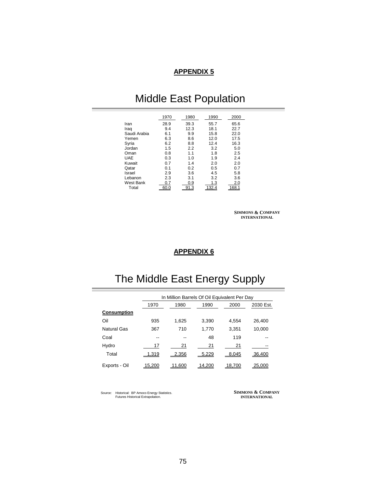## Middle East Population

|              | 1970 | 1980        | 1990  | 2000  |
|--------------|------|-------------|-------|-------|
| Iran         | 28.9 | 39.3        | 55.7  | 65.6  |
| Iraq         | 9.4  | 12.3        | 18.1  | 22.7  |
| Saudi Arabia | 6.1  | 9.9         | 15.8  | 22.0  |
| Yemen        | 6.3  | 8.6         | 12.0  | 17.5  |
| Syria        | 6.2  | 8.8         | 12.4  | 16.3  |
| Jordan       | 1.5  | 2.2         | 3.2   | 5.0   |
| Oman         | 0.8  | 1.1         | 1.8   | 2.5   |
| <b>UAE</b>   | 0.3  | 1.0         | 1.9   | 2.4   |
| Kuwait       | 0.7  | 1.4         | 2.0   | 2.0   |
| Qatar        | 0.1  | 0.2         | 0.5   | 0.7   |
| Israel       | 2.9  | 3.6         | 4.5   | 5.8   |
| Lebanon      | 2.3  | 3.1         | 3.2   | 3.6   |
| West Bank    | 0.7  | 0.9         | 1.3   | 2.0   |
| Total        | 60.0 | <u>91.3</u> | 132.4 | 168.1 |

**SIMMONS & COMPANY INTERNATIONAL**

### **APPENDIX 6**

## The Middle East Energy Supply

|                    | In Million Barrels Of Oil Equivalent Per Day |        |        |        |           |  |  |
|--------------------|----------------------------------------------|--------|--------|--------|-----------|--|--|
|                    | 1970                                         | 1980   | 1990   | 2000   | 2030 Est. |  |  |
| <b>Consumption</b> |                                              |        |        |        |           |  |  |
| Oil                | 935                                          | 1,625  | 3,390  | 4.554  | 26.400    |  |  |
| Natural Gas        | 367                                          | 710    | 1,770  | 3,351  | 10,000    |  |  |
| Coal               | --                                           | --     | 48     | 119    |           |  |  |
| Hydro              | 17                                           | 21     | 21     | 21     |           |  |  |
| Total              | 1,319                                        | 2,356  | 5,229  | 8,045  | 36.400    |  |  |
| Exports - Oil      | 15.200                                       | 11.600 | 14.200 | 18,700 | 25,000    |  |  |

Source: Historical: BP Amoco Energy Statistics. Futures Historical Extrapolation.

**SIMMONS & COMPANY INTERNATIONAL**